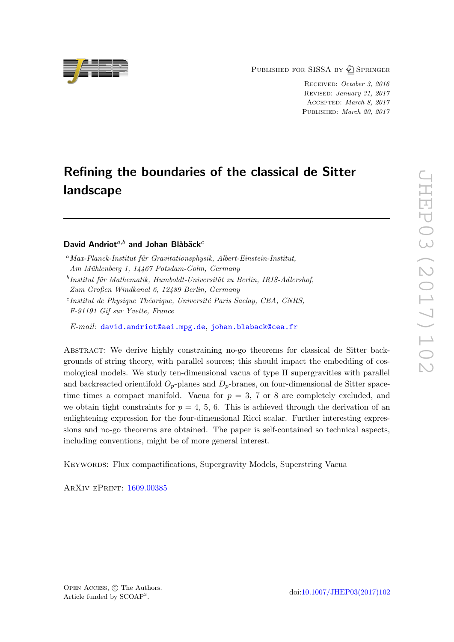PUBLISHED FOR SISSA BY 2 SPRINGER

Received: October 3, 2016 Revised: January 31, 2017 Accepted: March 8, 2017 PUBLISHED: March 20, 2017

# Refining the boundaries of the classical de Sitter landscape

David Andriot $a,b$  and Johan Blåbäck<sup>c</sup>

E-mail: [david.andriot@aei.mpg.de](mailto:david.andriot@aei.mpg.de), [johan.blaback@cea.fr](mailto:johan.blaback@cea.fr)

Abstract: We derive highly constraining no-go theorems for classical de Sitter backgrounds of string theory, with parallel sources; this should impact the embedding of cosmological models. We study ten-dimensional vacua of type II supergravities with parallel and backreacted orientifold  $O_p$ -planes and  $D_p$ -branes, on four-dimensional de Sitter spacetime times a compact manifold. Vacua for  $p = 3, 7$  or 8 are completely excluded, and we obtain tight constraints for  $p = 4, 5, 6$ . This is achieved through the derivation of an enlightening expression for the four-dimensional Ricci scalar. Further interesting expressions and no-go theorems are obtained. The paper is self-contained so technical aspects, including conventions, might be of more general interest.

Keywords: Flux compactifications, Supergravity Models, Superstring Vacua

ArXiv ePrint: [1609.00385](https://arxiv.org/abs/1609.00385)



 $^{a}$ Max-Planck-Institut für Gravitationsphysik, Albert-Einstein-Institut, Am Mühlenberg 1, 14467 Potsdam-Golm, Germany

 $^{b}$ Institut für Mathematik, Humboldt-Universität zu Berlin, IRIS-Adlershof, Zum Großen Windkanal 6, 12489 Berlin, Germany

<sup>&</sup>lt;sup>c</sup>Institut de Physique Théorique, Université Paris Saclay, CEA, CNRS, F-91191 Gif sur Yvette, France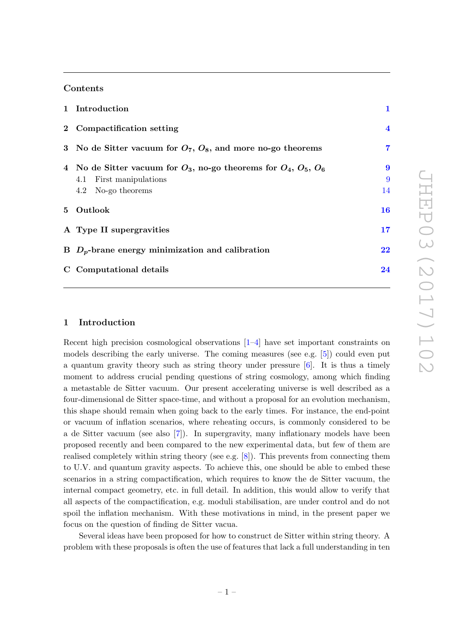# Contents

| 1 Introduction                                                                                                              | 1                           |
|-----------------------------------------------------------------------------------------------------------------------------|-----------------------------|
| 2 Compactification setting                                                                                                  | $\overline{\mathbf{4}}$     |
| 3 No de Sitter vacuum for $O_7$ , $O_8$ , and more no-go theorems                                                           | 7                           |
| 4 No de Sitter vacuum for $O_3$ , no-go theorems for $O_4$ , $O_5$ , $O_6$<br>4.1 First manipulations<br>4.2 No-go theorems | $\boldsymbol{9}$<br>9<br>14 |
| 5 Outlook                                                                                                                   | 16                          |
| A Type II supergravities                                                                                                    | 17                          |
| B $D_p$ -brane energy minimization and calibration                                                                          | 22                          |
| C Computational details                                                                                                     | 24                          |

### <span id="page-1-0"></span>1 Introduction

Recent high precision cosmological observations  $[1-4]$  have set important constraints on models describing the early universe. The coming measures (see e.g. [\[5\]](#page-27-2)) could even put a quantum gravity theory such as string theory under pressure  $[6]$ . It is thus a timely moment to address crucial pending questions of string cosmology, among which finding a metastable de Sitter vacuum. Our present accelerating universe is well described as a four-dimensional de Sitter space-time, and without a proposal for an evolution mechanism, this shape should remain when going back to the early times. For instance, the end-point or vacuum of inflation scenarios, where reheating occurs, is commonly considered to be a de Sitter vacuum (see also [\[7\]](#page-28-1)). In supergravity, many inflationary models have been proposed recently and been compared to the new experimental data, but few of them are realised completely within string theory (see e.g. [\[8\]](#page-28-2)). This prevents from connecting them to U.V. and quantum gravity aspects. To achieve this, one should be able to embed these scenarios in a string compactification, which requires to know the de Sitter vacuum, the internal compact geometry, etc. in full detail. In addition, this would allow to verify that all aspects of the compactification, e.g. moduli stabilisation, are under control and do not spoil the inflation mechanism. With these motivations in mind, in the present paper we focus on the question of finding de Sitter vacua.

Several ideas have been proposed for how to construct de Sitter within string theory. A problem with these proposals is often the use of features that lack a full understanding in ten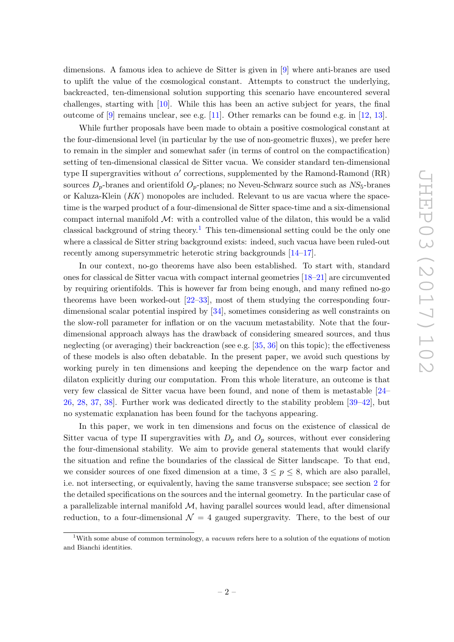dimensions. A famous idea to achieve de Sitter is given in [\[9\]](#page-28-3) where anti-branes are used to uplift the value of the cosmological constant. Attempts to construct the underlying, backreacted, ten-dimensional solution supporting this scenario have encountered several challenges, starting with [\[10\]](#page-28-4). While this has been an active subject for years, the final outcome of  $[9]$  remains unclear, see e.g.  $[11]$ . Other remarks can be found e.g. in  $[12, 13]$  $[12, 13]$ .

While further proposals have been made to obtain a positive cosmological constant at the four-dimensional level (in particular by the use of non-geometric fluxes), we prefer here to remain in the simpler and somewhat safer (in terms of control on the compactification) setting of ten-dimensional classical de Sitter vacua. We consider standard ten-dimensional type II supergravities without  $\alpha'$  corrections, supplemented by the Ramond-Ramond (RR) sources  $D_p$ -branes and orientifold  $O_p$ -planes; no Neveu-Schwarz source such as  $NS_5$ -branes or Kaluza-Klein (KK) monopoles are included. Relevant to us are vacua where the spacetime is the warped product of a four-dimensional de Sitter space-time and a six-dimensional compact internal manifold  $M$ : with a controlled value of the dilaton, this would be a valid classical background of string theory.<sup>[1](#page-2-0)</sup> This ten-dimensional setting could be the only one where a classical de Sitter string background exists: indeed, such vacua have been ruled-out recently among supersymmetric heterotic string backgrounds [\[14–](#page-28-8)[17\]](#page-28-9).

In our context, no-go theorems have also been established. To start with, standard ones for classical de Sitter vacua with compact internal geometries [\[18](#page-28-10)[–21\]](#page-28-11) are circumvented by requiring orientifolds. This is however far from being enough, and many refined no-go theorems have been worked-out [\[22–](#page-28-12)[33\]](#page-29-0), most of them studying the corresponding fourdimensional scalar potential inspired by [\[34\]](#page-29-1), sometimes considering as well constraints on the slow-roll parameter for inflation or on the vacuum metastability. Note that the fourdimensional approach always has the drawback of considering smeared sources, and thus neglecting (or averaging) their backreaction (see e.g. [\[35,](#page-29-2) [36\]](#page-29-3) on this topic); the effectiveness of these models is also often debatable. In the present paper, we avoid such questions by working purely in ten dimensions and keeping the dependence on the warp factor and dilaton explicitly during our computation. From this whole literature, an outcome is that very few classical de Sitter vacua have been found, and none of them is metastable [\[24–](#page-28-13) [26,](#page-28-14) [28,](#page-29-4) [37,](#page-29-5) [38\]](#page-29-6). Further work was dedicated directly to the stability problem [\[39–](#page-29-7)[42\]](#page-29-8), but no systematic explanation has been found for the tachyons appearing.

In this paper, we work in ten dimensions and focus on the existence of classical de Sitter vacua of type II supergravities with  $D_p$  and  $O_p$  sources, without ever considering the four-dimensional stability. We aim to provide general statements that would clarify the situation and refine the boundaries of the classical de Sitter landscape. To that end, we consider sources of one fixed dimension at a time,  $3 \leq p \leq 8$ , which are also parallel, i.e. not intersecting, or equivalently, having the same transverse subspace; see section [2](#page-4-0) for the detailed specifications on the sources and the internal geometry. In the particular case of a parallelizable internal manifold  $\mathcal{M}$ , having parallel sources would lead, after dimensional reduction, to a four-dimensional  $\mathcal{N} = 4$  gauged supergravity. There, to the best of our

<span id="page-2-0"></span><sup>&</sup>lt;sup>1</sup>With some abuse of common terminology, a *vacuum* refers here to a solution of the equations of motion and Bianchi identities.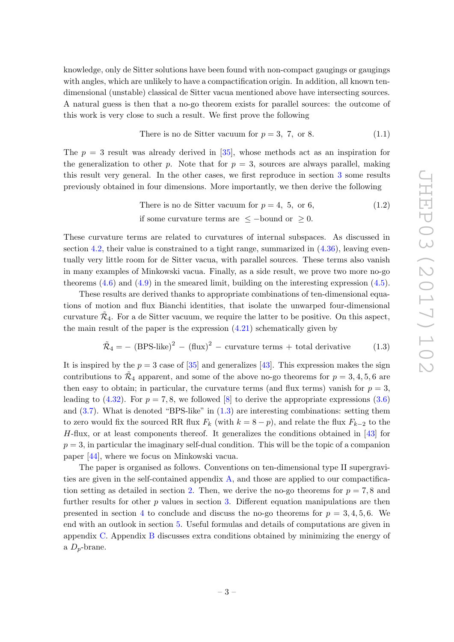knowledge, only de Sitter solutions have been found with non-compact gaugings or gaugings with angles, which are unlikely to have a compactification origin. In addition, all known tendimensional (unstable) classical de Sitter vacua mentioned above have intersecting sources. A natural guess is then that a no-go theorem exists for parallel sources: the outcome of this work is very close to such a result. We first prove the following

There is no de Sitter vacuum for 
$$
p = 3, 7, \text{ or } 8.
$$
 (1.1)

The  $p = 3$  result was already derived in [\[35\]](#page-29-2), whose methods act as an inspiration for the generalization to other p. Note that for  $p = 3$ , sources are always parallel, making this result very general. In the other cases, we first reproduce in section [3](#page-7-0) some results previously obtained in four dimensions. More importantly, we then derive the following

There is no de Sitter vacuum for 
$$
p = 4
$$
, 5, or 6,  
if some curvature terms are  $\le$  -bound or  $\ge$  0. (1.2)

These curvature terms are related to curvatures of internal subspaces. As discussed in section  $4.2$ , their value is constrained to a tight range, summarized in  $(4.36)$ , leaving eventually very little room for de Sitter vacua, with parallel sources. These terms also vanish in many examples of Minkowski vacua. Finally, as a side result, we prove two more no-go theorems  $(4.6)$  and  $(4.9)$  in the smeared limit, building on the interesting expression  $(4.5)$ .

These results are derived thanks to appropriate combinations of ten-dimensional equations of motion and flux Bianchi identities, that isolate the unwarped four-dimensional curvature  $\tilde{\mathcal{R}}_4$ . For a de Sitter vacuum, we require the latter to be positive. On this aspect, the main result of the paper is the expression  $(4.21)$  schematically given by

<span id="page-3-0"></span>
$$
\tilde{\mathcal{R}}_4 = - (BPS\text{-like})^2 - (flux)^2 - curvature \text{ terms } + \text{ total derivative} \tag{1.3}
$$

It is inspired by the  $p = 3$  case of [\[35\]](#page-29-2) and generalizes [\[43\]](#page-29-9). This expression makes the sign contributions to  $\tilde{\mathcal{R}}_4$  apparent, and some of the above no-go theorems for  $p = 3, 4, 5, 6$  are then easy to obtain; in particular, the curvature terms (and flux terms) vanish for  $p = 3$ , leading to  $(4.32)$ . For  $p = 7, 8$ , we followed [\[8\]](#page-28-2) to derive the appropriate expressions  $(3.6)$ and  $(3.7)$ . What is denoted "BPS-like" in  $(1.3)$  are interesting combinations: setting them to zero would fix the sourced RR flux  $F_k$  (with  $k = 8 - p$ ), and relate the flux  $F_{k-2}$  to the  $H$ -flux, or at least components thereof. It generalizes the conditions obtained in [\[43\]](#page-29-9) for  $p = 3$ , in particular the imaginary self-dual condition. This will be the topic of a companion paper [\[44\]](#page-29-10), where we focus on Minkowski vacua.

The paper is organised as follows. Conventions on ten-dimensional type II supergravities are given in the self-contained appendix [A,](#page-17-0) and those are applied to our compactifica-tion setting as detailed in section [2.](#page-4-0) Then, we derive the no-go theorems for  $p = 7, 8$  and further results for other  $p$  values in section [3.](#page-7-0) Different equation manipulations are then presented in section [4](#page-9-0) to conclude and discuss the no-go theorems for  $p = 3, 4, 5, 6$ . We end with an outlook in section [5.](#page-16-0) Useful formulas and details of computations are given in appendix [C.](#page-24-0) Appendix [B](#page-22-0) discusses extra conditions obtained by minimizing the energy of a  $D_p$ -brane.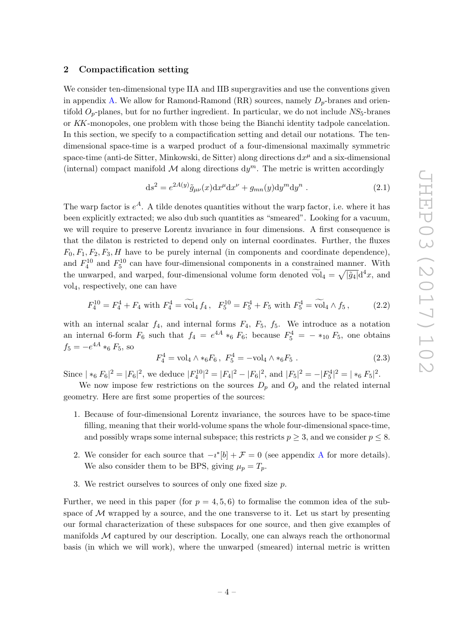#### <span id="page-4-0"></span>2 Compactification setting

We consider ten-dimensional type IIA and IIB supergravities and use the conventions given in appendix [A.](#page-17-0) We allow for Ramond-Ramond  $(RR)$  sources, namely  $D_p$ -branes and orientifold  $O_p$ -planes, but for no further ingredient. In particular, we do not include  $NS_5$ -branes or KK-monopoles, one problem with those being the Bianchi identity tadpole cancelation. In this section, we specify to a compactification setting and detail our notations. The tendimensional space-time is a warped product of a four-dimensional maximally symmetric space-time (anti-de Sitter, Minkowski, de Sitter) along directions  $dx^{\mu}$  and a six-dimensional (internal) compact manifold  $\mathcal M$  along directions  $dy^m$ . The metric is written accordingly

<span id="page-4-1"></span>
$$
ds2 = e2A(y) \tilde{g}_{\mu\nu}(x) dx\mu dx\nu + g_{mn}(y) dym dyn . \qquad (2.1)
$$

The warp factor is  $e^A$ . A tilde denotes quantities without the warp factor, i.e. where it has been explicitly extracted; we also dub such quantities as "smeared". Looking for a vacuum, we will require to preserve Lorentz invariance in four dimensions. A first consequence is that the dilaton is restricted to depend only on internal coordinates. Further, the fluxes  $F_0, F_1, F_2, F_3, H$  have to be purely internal (in components and coordinate dependence), and  $F_4^{10}$  and  $F_5^{10}$  can have four-dimensional components in a constrained manner. With the unwarped, and warped, four-dimensional volume form denoted  $\widetilde{\text{vol}}_4 = \sqrt{|\tilde{g}_4|} d^4x$ , and vol4, respectively, one can have

$$
F_4^{10} = F_4^4 + F_4 \text{ with } F_4^4 = \widetilde{\text{vol}}_4 f_4 \,, \ \ F_5^{10} = F_5^4 + F_5 \text{ with } F_5^4 = \widetilde{\text{vol}}_4 \wedge f_5 \,, \tag{2.2}
$$

with an internal scalar  $f_4$ , and internal forms  $F_4$ ,  $F_5$ ,  $f_5$ . We introduce as a notation an internal 6-form  $F_6$  such that  $f_4 = e^{4A} *_{6} F_6$ ; because  $F_5^4 = - *_{10} F_5$ , one obtains  $f_5 = -e^{4A} *_{6} F_5$ , so

$$
F_4^4 = \text{vol}_4 \wedge *_6 F_6, \ F_5^4 = -\text{vol}_4 \wedge *_6 F_5 \ . \tag{2.3}
$$

Since  $|*_6 F_6|^2 = |F_6|^2$ , we deduce  $|F_4^{10}|^2 = |F_4|^2 - |F_6|^2$ , and  $|F_5|^2 = -|F_5^4|^2 = |*_6 F_5|^2$ .

We now impose few restrictions on the sources  $D_p$  and  $O_p$  and the related internal geometry. Here are first some properties of the sources:

- <span id="page-4-2"></span>1. Because of four-dimensional Lorentz invariance, the sources have to be space-time filling, meaning that their world-volume spans the whole four-dimensional space-time, and possibly wraps some internal subspace; this restricts  $p \geq 3$ , and we consider  $p \leq 8$ .
- <span id="page-4-3"></span>2. We consider for each source that  $-i^* [b] + \mathcal{F} = 0$  (see appendix [A](#page-17-0) for more details). We also consider them to be BPS, giving  $\mu_p = T_p$ .
- <span id="page-4-4"></span>3. We restrict ourselves to sources of only one fixed size p.

Further, we need in this paper (for  $p = 4, 5, 6$ ) to formalise the common idea of the subspace of  $\mathcal M$  wrapped by a source, and the one transverse to it. Let us start by presenting our formal characterization of these subspaces for one source, and then give examples of manifolds  $M$  captured by our description. Locally, one can always reach the orthonormal basis (in which we will work), where the unwarped (smeared) internal metric is written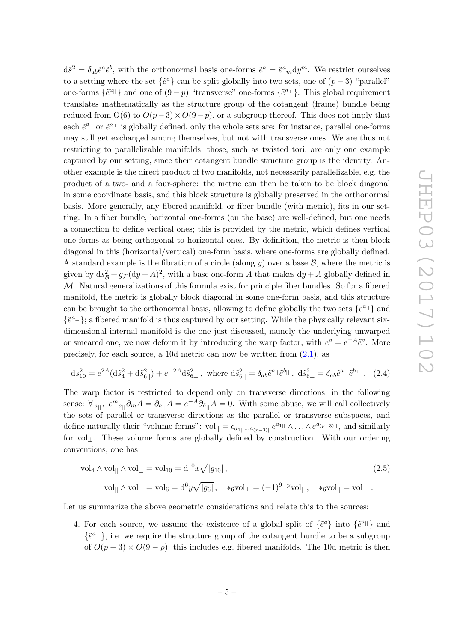$d\tilde{s}^2 = \delta_{ab}\tilde{e}^a\tilde{e}^b$ , with the orthonormal basis one-forms  $\tilde{e}^a = \tilde{e}^a{}_m dy^m$ . We restrict ourselves to a setting where the set  $\{\tilde{e}^a\}$  can be split globally into two sets, one of  $(p-3)$  "parallel" one-forms  $\{\tilde{e}^{a_{\parallel}}\}$  and one of  $(9-p)$  "transverse" one-forms  $\{\tilde{e}^{a_{\perp}}\}$ . This global requirement translates mathematically as the structure group of the cotangent (frame) bundle being reduced from  $O(6)$  to  $O(p-3) \times O(9-p)$ , or a subgroup thereof. This does not imply that each  $\tilde{e}^{a_{||}}$  or  $\tilde{e}^{a_{\perp}}$  is globally defined, only the whole sets are: for instance, parallel one-forms may still get exchanged among themselves, but not with transverse ones. We are thus not restricting to parallelizable manifolds; those, such as twisted tori, are only one example captured by our setting, since their cotangent bundle structure group is the identity. Another example is the direct product of two manifolds, not necessarily parallelizable, e.g. the product of a two- and a four-sphere: the metric can then be taken to be block diagonal in some coordinate basis, and this block structure is globally preserved in the orthonormal basis. More generally, any fibered manifold, or fiber bundle (with metric), fits in our setting. In a fiber bundle, horizontal one-forms (on the base) are well-defined, but one needs a connection to define vertical ones; this is provided by the metric, which defines vertical one-forms as being orthogonal to horizontal ones. By definition, the metric is then block diagonal in this (horizontal/vertical) one-form basis, where one-forms are globally defined. A standard example is the fibration of a circle (along y) over a base  $\mathcal{B}$ , where the metric is given by  $ds^2_B + g\text{F}(dy + A)^2$ , with a base one-form A that makes  $dy + A$  globally defined in M. Natural generalizations of this formula exist for principle fiber bundles. So for a fibered manifold, the metric is globally block diagonal in some one-form basis, and this structure can be brought to the orthonormal basis, allowing to define globally the two sets  $\{\tilde{e}^{a_{||}}\}$  and  $\{\tilde{e}^{a_{\perp}}\}$ ; a fibered manifold is thus captured by our setting. While the physically relevant sixdimensional internal manifold is the one just discussed, namely the underlying unwarped or smeared one, we now deform it by introducing the warp factor, with  $e^a = e^{\pm A} \tilde{e}^a$ . More precisely, for each source, a 10d metric can now be written from [\(2.1\)](#page-4-1), as

<span id="page-5-0"></span>
$$
ds_{10}^2 = e^{2A} (d\tilde{s}_4^2 + d\tilde{s}_{6||}^2) + e^{-2A} d\tilde{s}_{6\perp}^2, \text{ where } d\tilde{s}_{6||}^2 = \delta_{ab} \tilde{e}^{a_{||}} \tilde{e}^{b_{||}}, d\tilde{s}_{6\perp}^2 = \delta_{ab} \tilde{e}^{a_{\perp}} \tilde{e}^{b_{\perp}}.
$$
 (2.4)

The warp factor is restricted to depend only on transverse directions, in the following sense:  $\forall_{a_{||}}, e^{m}{}_{a_{||}} \partial_m A = \partial_{a_{||}} A = e^{-A} \partial_{\tilde{a}_{||}} A = 0$ . With some abuse, we will call collectively the sets of parallel or transverse directions as the parallel or transverse subspaces, and define naturally their "volume forms":  $vol_{\parallel} = \epsilon_{a_{1}\parallel} ... a_{(p-3)\parallel} e^{a_{1}\parallel} \wedge ... \wedge e^{a_{(p-3)\parallel}}$ , and similarly for vol⊥. These volume forms are globally defined by construction. With our ordering conventions, one has

<span id="page-5-2"></span>
$$
\text{vol}_4 \wedge \text{vol}_{\parallel} \wedge \text{vol}_{\perp} = \text{vol}_{10} = \text{d}^{10} x \sqrt{|g_{10}|},
$$
  
\n
$$
\text{vol}_{\parallel} \wedge \text{vol}_{\perp} = \text{vol}_6 = \text{d}^6 y \sqrt{|g_6|}, \quad *_{6} \text{vol}_{\perp} = (-1)^{9-p} \text{vol}_{\parallel}, \quad *_{6} \text{vol}_{\parallel} = \text{vol}_{\perp}.
$$
\n(2.5)

<span id="page-5-1"></span>Let us summarize the above geometric considerations and relate this to the sources:

4. For each source, we assume the existence of a global split of  $\{\tilde{e}^a\}$  into  $\{\tilde{e}^{a\parallel}\}$  and  $\{\tilde{e}^{a_{\perp}}\}$ , i.e. we require the structure group of the cotangent bundle to be a subgroup of  $O(p-3) \times O(9-p)$ ; this includes e.g. fibered manifolds. The 10d metric is then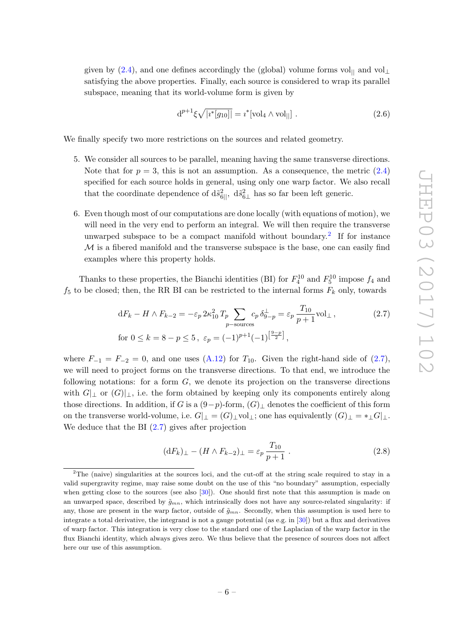given by [\(2.4\)](#page-5-0), and one defines accordingly the (global) volume forms vol<sub>||</sub> and vol<sub>⊥</sub> satisfying the above properties. Finally, each source is considered to wrap its parallel subspace, meaning that its world-volume form is given by

<span id="page-6-5"></span>
$$
d^{p+1}\xi\sqrt{|i^*[g_{10}]|} = i^*[\text{vol}_4 \wedge \text{vol}_{||}].
$$
 (2.6)

<span id="page-6-2"></span>We finally specify two more restrictions on the sources and related geometry.

- 5. We consider all sources to be parallel, meaning having the same transverse directions. Note that for  $p = 3$ , this is not an assumption. As a consequence, the metric  $(2.4)$ specified for each source holds in general, using only one warp factor. We also recall that the coordinate dependence of  $d\tilde{s}_{6||}^2$ ,  $d\tilde{s}_{6\perp}^2$  has so far been left generic.
- <span id="page-6-4"></span>6. Even though most of our computations are done locally (with equations of motion), we will need in the very end to perform an integral. We will then require the transverse unwarped subspace to be a compact manifold without boundary.<sup>[2](#page-6-0)</sup> If for instance  $\mathcal M$  is a fibered manifold and the transverse subspace is the base, one can easily find examples where this property holds.

Thanks to these properties, the Bianchi identities (BI) for  $F_4^{10}$  and  $F_5^{10}$  impose  $f_4$  and  $f_5$  to be closed; then, the RR BI can be restricted to the internal forms  $F_k$  only, towards

$$
dF_k - H \wedge F_{k-2} = -\varepsilon_p 2\kappa_{10}^2 T_p \sum_{p-\text{sources}} c_p \,\delta_{9-p}^{\perp} = \varepsilon_p \frac{T_{10}}{p+1} \text{vol}_{\perp} \,,\tag{2.7}
$$
  
for  $0 \le k = 8 - p \le 5$ ,  $\varepsilon_p = (-1)^{p+1} (-1)^{\left[\frac{9-p}{2}\right]}$ ,

where  $F_{-1} = F_{-2} = 0$ , and one uses  $(A.12)$  for  $T_{10}$ . Given the right-hand side of  $(2.7)$ , we will need to project forms on the transverse directions. To that end, we introduce the following notations: for a form  $G$ , we denote its projection on the transverse directions with  $G|_{\perp}$  or  $(G)|_{\perp}$ , i.e. the form obtained by keeping only its components entirely along those directions. In addition, if G is a  $(9-p)$ -form,  $(G)$ <sub>⊥</sub> denotes the coefficient of this form on the transverse world-volume, i.e.  $G|_{\perp} = (G)_{\perp}$ vol<sub>⊥</sub>; one has equivalently  $(G)_{\perp} = *_{\perp} G|_{\perp}$ . We deduce that the BI  $(2.7)$  gives after projection

<span id="page-6-3"></span><span id="page-6-1"></span>
$$
(\mathrm{d}F_k)_{\perp} - (H \wedge F_{k-2})_{\perp} = \varepsilon_p \frac{T_{10}}{p+1} \; . \tag{2.8}
$$

<span id="page-6-0"></span><sup>&</sup>lt;sup>2</sup>The (naive) singularities at the sources loci, and the cut-off at the string scale required to stay in a valid supergravity regime, may raise some doubt on the use of this "no boundary" assumption, especially when getting close to the sources (see also [\[30\]](#page-29-11)). One should first note that this assumption is made on an unwarped space, described by  $\tilde{g}_{mn}$ , which intrinsically does not have any source-related singularity: if any, those are present in the warp factor, outside of  $\tilde{g}_{mn}$ . Secondly, when this assumption is used here to integrate a total derivative, the integrand is not a gauge potential (as e.g. in [\[30\]](#page-29-11)) but a flux and derivatives of warp factor. This integration is very close to the standard one of the Laplacian of the warp factor in the flux Bianchi identity, which always gives zero. We thus believe that the presence of sources does not affect here our use of this assumption.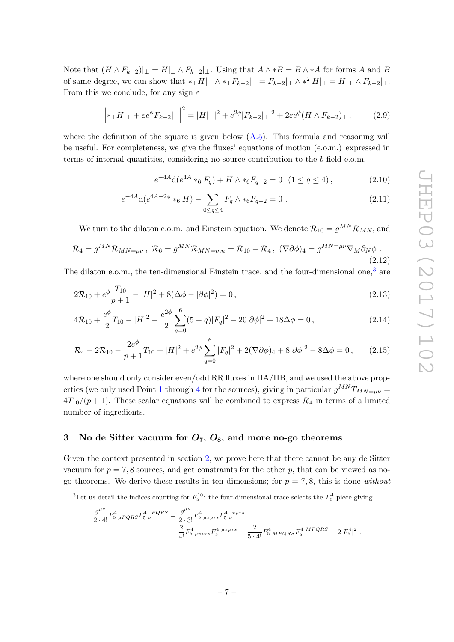Note that  $(H \wedge F_{k-2})|_{\perp} = H|_{\perp} \wedge F_{k-2}|_{\perp}$ . Using that  $A \wedge B = B \wedge A$  for forms A and B of same degree, we can show that  $*_{\perp}H|_{\perp} \wedge *_{\perp}F_{k-2}|_{\perp} = F_{k-2}|_{\perp} \wedge *_{\perp}^{2}H|_{\perp} = H|_{\perp} \wedge F_{k-2}|_{\perp}$ . From this we conclude, for any sign  $\varepsilon$ 

<span id="page-7-2"></span>
$$
\left| *_\perp H|_\perp + \varepsilon e^\phi F_{k-2}|_\perp \right|^2 = |H|_\perp|^2 + e^{2\phi} |F_{k-2}|_\perp|^2 + 2\varepsilon e^\phi (H \wedge F_{k-2})_\perp ,\tag{2.9}
$$

where the definition of the square is given below  $(A.5)$ . This formula and reasoning will be useful. For completeness, we give the fluxes' equations of motion (e.o.m.) expressed in terms of internal quantities, considering no source contribution to the b-field e.o.m.

$$
e^{-4A}d(e^{4A} *_{6} F_{q}) + H \wedge *_{6} F_{q+2} = 0 \quad (1 \le q \le 4), \tag{2.10}
$$

$$
e^{-4A}d(e^{4A-2\phi} *_{6} H) - \sum_{0 \le q \le 4} F_{q} \wedge *_{6} F_{q+2} = 0.
$$
 (2.11)

We turn to the dilaton e.o.m. and Einstein equation. We denote  $\mathcal{R}_{10} = g^{MN}\mathcal{R}_{MN}$ , and

$$
\mathcal{R}_4 = g^{MN} \mathcal{R}_{MN=\mu\nu}, \ \mathcal{R}_6 = g^{MN} \mathcal{R}_{MN=mn} = \mathcal{R}_{10} - \mathcal{R}_4, \ (\nabla \partial \phi)_4 = g^{MN=\mu\nu} \nabla_M \partial_N \phi \ . \tag{2.12}
$$

The dilaton e.o.m., the ten-dimensional Einstein trace, and the four-dimensional one.<sup>[3](#page-7-1)</sup> are

$$
2\mathcal{R}_{10} + e^{\phi} \frac{T_{10}}{p+1} - |H|^2 + 8(\Delta\phi - |\partial\phi|^2) = 0,
$$
\n(2.13)

$$
4\mathcal{R}_{10} + \frac{e^{\phi}}{2}T_{10} - |H|^2 - \frac{e^{2\phi}}{2}\sum_{q=0}^{6} (5-q)|F_q|^2 - 20|\partial\phi|^2 + 18\Delta\phi = 0,
$$
\n(2.14)

$$
\mathcal{R}_4 - 2\mathcal{R}_{10} - \frac{2e^{\phi}}{p+1}T_{10} + |H|^2 + e^{2\phi} \sum_{q=0}^6 |F_q|^2 + 2(\nabla\partial\phi)_4 + 8|\partial\phi|^2 - 8\Delta\phi = 0, \qquad (2.15)
$$

where one should only consider even/odd RR fluxes in IIA/IIB, and we used the above prop-erties (we only used Point [1](#page-4-2) through [4](#page-5-1) for the sources), giving in particular  $g^{MN}T_{MN=\mu\nu}$  $4T_{10}/(p+1)$ . These scalar equations will be combined to express  $\mathcal{R}_4$  in terms of a limited number of ingredients.

# <span id="page-7-0"></span>3 No de Sitter vacuum for  $O_7$ ,  $O_8$ , and more no-go theorems

Given the context presented in section [2,](#page-4-0) we prove here that there cannot be any de Sitter vacuum for  $p = 7, 8$  sources, and get constraints for the other p, that can be viewed as nogo theorems. We derive these results in ten dimensions; for  $p = 7, 8$ , this is done without

<span id="page-7-1"></span><sup>3</sup>Let us detail the indices counting for  $F_5^{10}$ : the four-dimensional trace selects the  $F_5^4$  piece giving

$$
\frac{g^{\mu\nu}}{2 \cdot 4!} F_{5\ \mu PQRS}^4 F_{5\ \nu}^{4\ PQRS} = \frac{g^{\mu\nu}}{2 \cdot 3!} F_{5\ \mu\pi\rho\tau s}^4 F_{5\ \nu}^{4\ \pi\rho\tau s}
$$
  
= 
$$
\frac{2}{4!} F_{5\ \mu\pi\rho\tau s}^4 F_{5\ \mu\pi\rho\tau s}^4 = \frac{2}{5 \cdot 4!} F_{5\ MPQRS}^4 F_{5\ WPQRS}^4 = 2|F_{5}|^2.
$$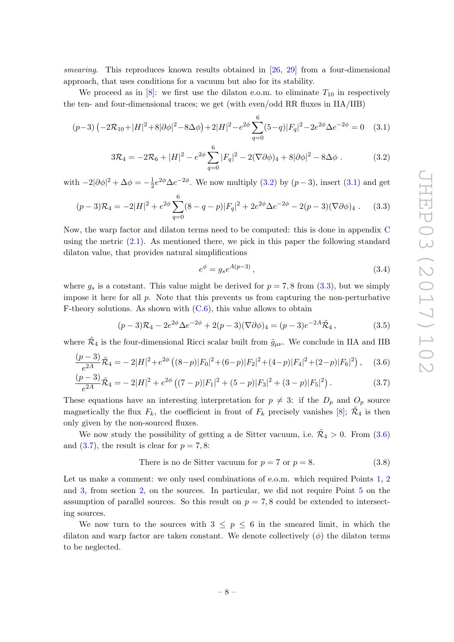smearing. This reproduces known results obtained in [\[26,](#page-28-14) [29\]](#page-29-12) from a four-dimensional approach, that uses conditions for a vacuum but also for its stability.

We proceed as in [\[8\]](#page-28-2): we first use the dilaton e.o.m. to eliminate  $T_{10}$  in respectively the ten- and four-dimensional traces; we get (with even/odd RR fluxes in IIA/IIB)

$$
(p-3)\left(-2\mathcal{R}_{10}+|H|^2+8|\partial\phi|^2-8\Delta\phi\right)+2|H|^2-e^{2\phi}\sum_{q=0}^6(5-q)|F_q|^2-2e^{2\phi}\Delta e^{-2\phi}=0\quad(3.1)
$$

$$
3\mathcal{R}_4 = -2\mathcal{R}_6 + |H|^2 - e^{2\phi} \sum_{q=0}^6 |F_q|^2 - 2(\nabla\partial\phi)_4 + 8|\partial\phi|^2 - 8\Delta\phi. \tag{3.2}
$$

with  $-2|\partial \phi|^2 + \Delta \phi = -\frac{1}{2}$  $\frac{1}{2}e^{2\phi}\Delta e^{-2\phi}$ . We now multiply [\(3.2\)](#page-8-2) by  $(p-3)$ , insert [\(3.1\)](#page-8-3) and get

<span id="page-8-4"></span>
$$
(p-3)\mathcal{R}_4 = -2|H|^2 + e^{2\phi} \sum_{q=0}^6 (8-q-p)|F_q|^2 + 2e^{2\phi} \Delta e^{-2\phi} - 2(p-3)(\nabla \partial \phi)_4. \tag{3.3}
$$

Now, the warp factor and dilaton terms need to be computed: this is done in appendix [C](#page-24-0) using the metric  $(2.1)$ . As mentioned there, we pick in this paper the following standard dilaton value, that provides natural simplifications

<span id="page-8-5"></span><span id="page-8-3"></span><span id="page-8-2"></span><span id="page-8-1"></span><span id="page-8-0"></span>
$$
e^{\phi} = g_s e^{A(p-3)},\tag{3.4}
$$

where  $g_s$  is a constant. This value might be derived for  $p = 7, 8$  from  $(3.3)$ , but we simply impose it here for all  $p$ . Note that this prevents us from capturing the non-perturbative F-theory solutions. As shown with  $(C.6)$ , this value allows to obtain

$$
(p-3)\mathcal{R}_4 - 2e^{2\phi}\Delta e^{-2\phi} + 2(p-3)(\nabla \partial \phi)_4 = (p-3)e^{-2A}\tilde{\mathcal{R}}_4,
$$
\n(3.5)

where  $\tilde{\mathcal{R}}_4$  is the four-dimensional Ricci scalar built from  $\tilde{g}_{\mu\nu}$ . We conclude in IIA and IIB

$$
\frac{(p-3)}{e^{2A}}\tilde{\mathcal{R}}_4 = -2|H|^2 + e^{2\phi}\left((8-p)|F_0|^2 + (6-p)|F_2|^2 + (4-p)|F_4|^2 + (2-p)|F_6|^2\right),\tag{3.6}
$$

$$
\frac{(p-3)}{e^{2A}}\tilde{\mathcal{R}}_4 = -2|H|^2 + e^{2\phi}\left((7-p)|F_1|^2 + (5-p)|F_3|^2 + (3-p)|F_5|^2\right). \tag{3.7}
$$

These equations have an interesting interpretation for  $p \neq 3$ : if the  $D_p$  and  $O_p$  source magnetically the flux  $F_k$ , the coefficient in front of  $F_k$  precisely vanishes [\[8\]](#page-28-2);  $\tilde{\mathcal{R}}_4$  is then only given by the non-sourced fluxes.

We now study the possibility of getting a de Sitter vacuum, i.e.  $\tilde{\mathcal{R}}_4 > 0$ . From  $(3.6)$ and  $(3.7)$ , the result is clear for  $p = 7, 8$ :

<span id="page-8-6"></span>There is no de Sitter vacuum for 
$$
p = 7
$$
 or  $p = 8$ . (3.8)

Let us make a comment: we only used combinations of e.o.m. which required Points [1,](#page-4-2) [2](#page-4-3) and [3,](#page-4-4) from section [2,](#page-4-0) on the sources. In particular, we did not require Point [5](#page-6-2) on the assumption of parallel sources. So this result on  $p = 7, 8$  could be extended to intersecting sources.

We now turn to the sources with  $3 \leq p \leq 6$  in the smeared limit, in which the dilaton and warp factor are taken constant. We denote collectively  $(\phi)$  the dilaton terms to be neglected.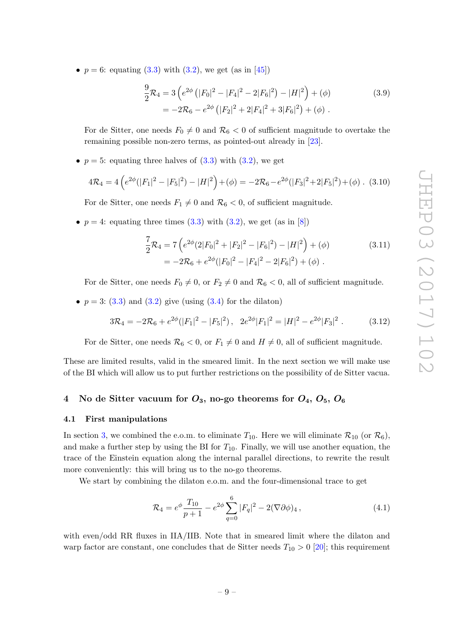•  $p = 6$ : equating  $(3.3)$  with  $(3.2)$ , we get  $(as$  in [\[45\]](#page-29-13))

$$
\frac{9}{2}\mathcal{R}_4 = 3\left(e^{2\phi} \left(|F_0|^2 - |F_4|^2 - 2|F_6|^2\right) - |H|^2\right) + (\phi)
$$
\n
$$
= -2\mathcal{R}_6 - e^{2\phi} \left(|F_2|^2 + 2|F_4|^2 + 3|F_6|^2\right) + (\phi) \tag{3.9}
$$

For de Sitter, one needs  $F_0 \neq 0$  and  $\mathcal{R}_6 < 0$  of sufficient magnitude to overtake the remaining possible non-zero terms, as pointed-out already in [\[23\]](#page-28-15).

•  $p = 5$ : equating three halves of  $(3.3)$  with  $(3.2)$ , we get

$$
4\mathcal{R}_4 = 4\left(e^{2\phi}(|F_1|^2 - |F_5|^2) - |H|^2\right) + (\phi) = -2\mathcal{R}_6 - e^{2\phi}(|F_3|^2 + 2|F_5|^2) + (\phi). \tag{3.10}
$$

For de Sitter, one needs  $F_1 \neq 0$  and  $\mathcal{R}_6 < 0$ , of sufficient magnitude.

•  $p = 4$ : equating three times [\(3.3\)](#page-8-4) with [\(3.2\)](#page-8-2), we get (as in [\[8\]](#page-28-2))

$$
\frac{7}{2}\mathcal{R}_4 = 7\left(e^{2\phi}(2|F_0|^2 + |F_2|^2 - |F_6|^2) - |H|^2\right) + (\phi)
$$
\n
$$
= -2\mathcal{R}_6 + e^{2\phi}(|F_0|^2 - |F_4|^2 - 2|F_6|^2) + (\phi) \tag{3.11}
$$

For de Sitter, one needs  $F_0 \neq 0$ , or  $F_2 \neq 0$  and  $\mathcal{R}_6 < 0$ , all of sufficient magnitude.

•  $p = 3$ : [\(3.3\)](#page-8-4) and [\(3.2\)](#page-8-2) give (using [\(3.4\)](#page-8-5) for the dilaton)

$$
3\mathcal{R}_4 = -2\mathcal{R}_6 + e^{2\phi}(|F_1|^2 - |F_5|^2), \quad 2e^{2\phi}|F_1|^2 = |H|^2 - e^{2\phi}|F_3|^2. \tag{3.12}
$$

For de Sitter, one needs  $\mathcal{R}_6 < 0$ , or  $F_1 \neq 0$  and  $H \neq 0$ , all of sufficient magnitude.

These are limited results, valid in the smeared limit. In the next section we will make use of the BI which will allow us to put further restrictions on the possibility of de Sitter vacua.

# <span id="page-9-0"></span>4 No de Sitter vacuum for  $O_3$ , no-go theorems for  $O_4$ ,  $O_5$ ,  $O_6$

#### <span id="page-9-1"></span>4.1 First manipulations

In section [3,](#page-7-0) we combined the e.o.m. to eliminate  $T_{10}$ . Here we will eliminate  $\mathcal{R}_{10}$  (or  $\mathcal{R}_6$ ), and make a further step by using the BI for  $T_{10}$ . Finally, we will use another equation, the trace of the Einstein equation along the internal parallel directions, to rewrite the result more conveniently: this will bring us to the no-go theorems.

We start by combining the dilaton e.o.m. and the four-dimensional trace to get

<span id="page-9-2"></span>
$$
\mathcal{R}_4 = e^{\phi} \frac{T_{10}}{p+1} - e^{2\phi} \sum_{q=0}^6 |F_q|^2 - 2(\nabla \partial \phi)_4 , \qquad (4.1)
$$

with even/odd RR fluxes in IIA/IIB. Note that in smeared limit where the dilaton and warp factor are constant, one concludes that de Sitter needs  $T_{10} > 0$  [\[20\]](#page-28-16); this requirement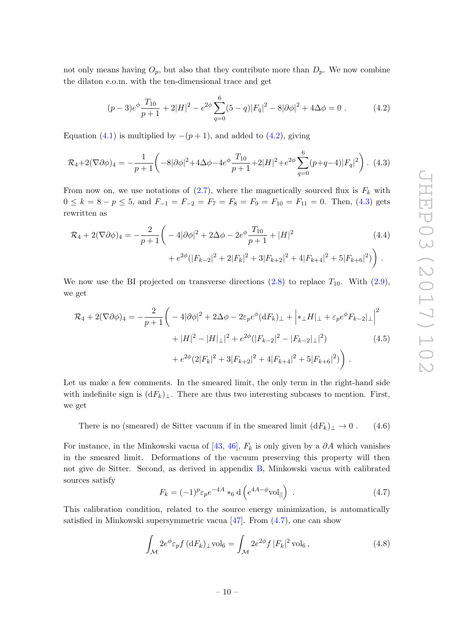not only means having  $O_p$ , but also that they contribute more than  $D_p$ . We now combine the dilaton e.o.m. with the ten-dimensional trace and get

<span id="page-10-5"></span><span id="page-10-2"></span>
$$
(p-3)e^{\phi} \frac{T_{10}}{p+1} + 2|H|^2 - e^{2\phi} \sum_{q=0}^{6} (5-q)|F_q|^2 - 8|\partial\phi|^2 + 4\Delta\phi = 0.
$$
 (4.2)

Equation [\(4.1\)](#page-9-2) is multiplied by  $-(p+1)$ , and added to [\(4.2\)](#page-10-2), giving

<span id="page-10-3"></span>
$$
\mathcal{R}_4 + 2(\nabla \partial \phi)_4 = -\frac{1}{p+1} \left( -8|\partial \phi|^2 + 4\Delta \phi - 4e^{\phi} \frac{T_{10}}{p+1} + 2|H|^2 + e^{2\phi} \sum_{q=0}^6 (p+q-4)|F_q|^2 \right). \tag{4.3}
$$

From now on, we use notations of  $(2.7)$ , where the magnetically sourced flux is  $F_k$  with  $0 \le k = 8 - p \le 5$ , and  $F_{-1} = F_{-2} = F_7 = F_8 = F_9 = F_{10} = F_{11} = 0$ . Then, [\(4.3\)](#page-10-3) gets rewritten as

$$
\mathcal{R}_4 + 2(\nabla \partial \phi)_4 = -\frac{2}{p+1} \bigg( -4|\partial \phi|^2 + 2\Delta \phi - 2e^{\phi} \frac{T_{10}}{p+1} + |H|^2 \qquad (4.4)
$$

$$
+ e^{2\phi} (|F_{k-2}|^2 + 2|F_k|^2 + 3|F_{k+2}|^2 + 4|F_{k+4}|^2 + 5|F_{k+6}|^2) \bigg) .
$$

We now use the BI projected on transverse directions  $(2.8)$  to replace  $T_{10}$ . With  $(2.9)$ , we get

$$
\mathcal{R}_4 + 2(\nabla \partial \phi)_4 = -\frac{2}{p+1} \bigg( -4|\partial \phi|^2 + 2\Delta \phi - 2\varepsilon_p e^{\phi} (dF_k)_\perp + \Big| *_\perp H|_\perp + \varepsilon_p e^{\phi} F_{k-2}|_\perp \Big|^2 \n+ |H|^2 - |H|_\perp|^2 + e^{2\phi} (|F_{k-2}|^2 - |F_{k-2}|_\perp|^2) \n+ e^{2\phi} (2|F_k|^2 + 3|F_{k+2}|^2 + 4|F_{k+4}|^2 + 5|F_{k+6}|^2) \bigg) .
$$
\n(4.5)

Let us make a few comments. In the smeared limit, the only term in the right-hand side with indefinite sign is  $(dF_k)_\perp$ . There are thus two interesting subcases to mention. First, we get

<span id="page-10-0"></span>There is no (smeared) de Sitter vacuum if in the smeared limit  $(dF_k)_\perp \to 0$ . (4.6)

For instance, in the Minkowski vacua of [\[43,](#page-29-9) [46\]](#page-29-14),  $F_k$  is only given by a  $\partial A$  which vanishes in the smeared limit. Deformations of the vacuum preserving this property will then not give de Sitter. Second, as derived in appendix [B,](#page-22-0) Minkowski vacua with calibrated sources satisfy

<span id="page-10-4"></span><span id="page-10-1"></span>
$$
F_k = (-1)^p \varepsilon_p e^{-4A} *_{6} d\left(e^{4A - \phi} \text{vol}_{||}\right) \tag{4.7}
$$

This calibration condition, related to the source energy minimization, is automatically satisfied in Minkowski supersymmetric vacua  $[47]$ . From  $(4.7)$ , one can show

<span id="page-10-6"></span>
$$
\int_{\mathcal{M}} 2e^{\phi} \varepsilon_p f \, (\mathrm{d}F_k)_{\perp} \text{vol}_6 = \int_{\mathcal{M}} 2e^{2\phi} f \, |F_k|^2 \, \text{vol}_6 \,, \tag{4.8}
$$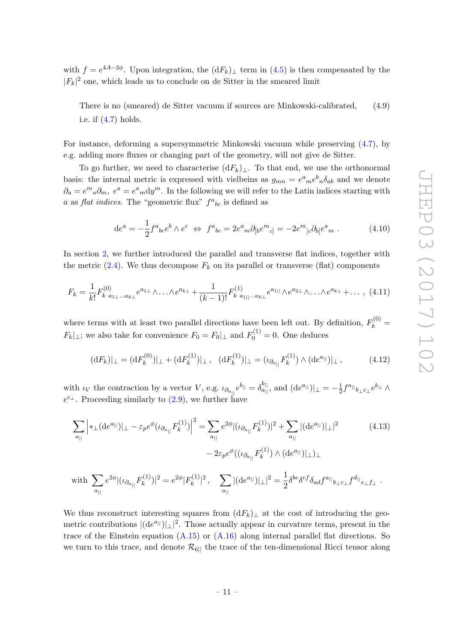with  $f = e^{4A-2\phi}$ . Upon integration, the  $(dF_k)_\perp$  term in  $(4.5)$  is then compensated by the  $|F_k|^2$  one, which leads us to conclude on de Sitter in the smeared limit

There is no (smeared) de Sitter vacuum if sources are Minkowski-calibrated, (4.9) i.e. if [\(4.7\)](#page-10-4) holds.

For instance, deforming a supersymmetric Minkowski vacuum while preserving [\(4.7\)](#page-10-4), by e.g. adding more fluxes or changing part of the geometry, will not give de Sitter.

To go further, we need to characterise  $(dF_k)_\perp$ . To that end, we use the orthonormal basis: the internal metric is expressed with vielbeins as  $g_{mn} = e^a{}_m e^b{}_n \delta_{ab}$  and we denote  $\partial_a = e^m{}_a \partial_m$ ,  $e^a = e^a{}_m dy^m$ . In the following we will refer to the Latin indices starting with a as flat indices. The "geometric flux"  $f^a{}_{bc}$  is defined as

<span id="page-11-3"></span><span id="page-11-0"></span>
$$
de^{a} = -\frac{1}{2} f^{a}{}_{bc} e^{b} \wedge e^{c} \iff f^{a}{}_{bc} = 2 e^{a}{}_{m} \partial_{[b} e^{m}{}_{c]} = -2 e^{m}{}_{[c} \partial_{b]} e^{a}{}_{m} . \tag{4.10}
$$

In section [2,](#page-4-0) we further introduced the parallel and transverse flat indices, together with the metric  $(2.4)$ . We thus decompose  $F_k$  on its parallel or transverse (flat) components

$$
F_k = \frac{1}{k!} F_{k \ a_{1\perp} \ldots a_{k\perp}}^{(0)} e^{a_{1\perp}} \wedge \ldots \wedge e^{a_{k\perp}} + \frac{1}{(k-1)!} F_{k \ a_{1\parallel} \ldots a_{k\perp}}^{(1)} e^{a_{1\parallel}} \wedge e^{a_{2\perp}} \wedge \ldots \wedge e^{a_{k\perp}} + \ldots, \tag{4.11}
$$

where terms with at least two parallel directions have been left out. By definition,  $F_k^{(0)}$  =  $F_k|_{\perp}$ ; we also take for convenience  $F_0 = F_0|_{\perp}$  and  $F_0^{(1)} = 0$ . One deduces

<span id="page-11-2"></span><span id="page-11-1"></span>
$$
(\mathrm{d}F_k)|_{\perp} = (\mathrm{d}F_k^{(0)})|_{\perp} + (\mathrm{d}F_k^{(1)})|_{\perp}, \quad (\mathrm{d}F_k^{(1)})|_{\perp} = (\iota_{\partial_{a_{||}}}F_k^{(1)}) \wedge (\mathrm{d}e^{a_{||}})|_{\perp}, \tag{4.12}
$$

with  $\iota_V$  the contraction by a vector V, e.g.  $\iota_{\partial_{a_{||}}}e^{b_{||}} = \delta_{a_{||}}^{b_{||}}$ , and  $(\mathrm{d}e^{a_{||}})|_{\perp} = -\frac{1}{2}$  $\frac{1}{2} f^{a_{||}}{}_{b_{\perp}c_{\perp}} e^{b_{\perp}} \wedge$  $e^{c_{\perp}}$ . Proceeding similarly to  $(2.9)$ , we further have

$$
\sum_{a_{||}} \left| *_{\perp} (\mathrm{d}e^{a_{||}}) \right|_{\perp} - \varepsilon_p e^{\phi} (\iota_{\partial_{a_{||}}} F_k^{(1)}) \Big|^2 = \sum_{a_{||}} e^{2\phi} |(\iota_{\partial_{a_{||}}} F_k^{(1)})|^2 + \sum_{a_{||}} |(\mathrm{d}e^{a_{||}}) |_{\perp}|^2
$$
(4.13)  

$$
- 2\varepsilon_p e^{\phi} ((\iota_{\partial_{a_{||}}} F_k^{(1)}) \wedge (\mathrm{d}e^{a_{||}}) |_{\perp})_{\perp}
$$

with 
$$
\sum_{a_{||}} e^{2\phi} |(\iota_{\partial_{a_{||}}} F_k^{(1)})|^2 = e^{2\phi} |F_k^{(1)}|^2, \quad \sum_{a_{||}} |(\mathrm{d} e^{a_{||}})|_{\perp}|^2 = \frac{1}{2} \delta^{be} \delta^{cf} \delta_{ad} f^{a_{||}}{}_{b_{\perp}c_{\perp}} f^{d_{||}}{}_{e_{\perp}f_{\perp}}.
$$

We thus reconstruct interesting squares from  $(dF_k)_\perp$  at the cost of introducing the geometric contributions  $| (de^{a_{\parallel}}) |_{\perp} |^2$ . Those actually appear in curvature terms, present in the trace of the Einstein equation  $(A.15)$  or  $(A.16)$  along internal parallel flat directions. So we turn to this trace, and denote  $\mathcal{R}_{6\parallel}$  the trace of the ten-dimensional Ricci tensor along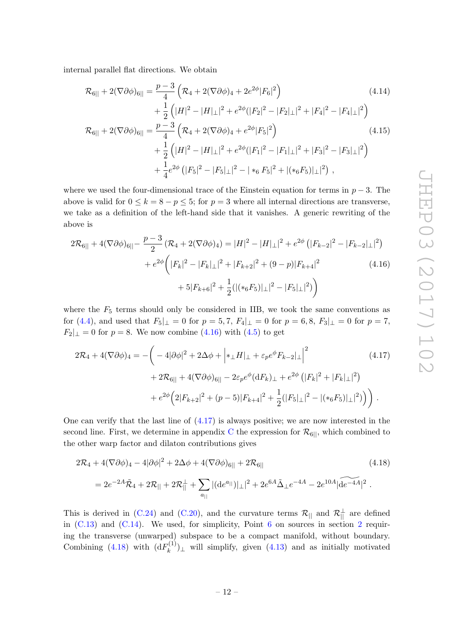internal parallel flat directions. We obtain

<span id="page-12-3"></span>
$$
\mathcal{R}_{6||} + 2(\nabla \partial \phi)_{6||} = \frac{p-3}{4} \left( \mathcal{R}_{4} + 2(\nabla \partial \phi)_{4} + 2e^{2\phi} |F_{6}|^{2} \right)
$$
\n
$$
+ \frac{1}{2} \left( |H|^{2} - |H|_{\perp}|^{2} + e^{2\phi} (|F_{2}|^{2} - |F_{2}|_{\perp}|^{2} + |F_{4}|^{2} - |F_{4}|_{\perp}|^{2} \right)
$$
\n
$$
\mathcal{R}_{6||} + 2(\nabla \partial \phi)_{6||} = \frac{p-3}{4} \left( \mathcal{R}_{4} + 2(\nabla \partial \phi)_{4} + e^{2\phi} |F_{5}|^{2} \right)
$$
\n
$$
+ \frac{1}{2} \left( |H|^{2} - |H|_{\perp}|^{2} + e^{2\phi} (|F_{1}|^{2} - |F_{1}|_{\perp}|^{2} + |F_{3}|^{2} - |F_{3}|_{\perp}|^{2} \right)
$$
\n
$$
+ \frac{1}{4} e^{2\phi} \left( |F_{5}|^{2} - |F_{5}|_{\perp}|^{2} - |*_{6} F_{5}|^{2} + |(*_{6} F_{5})|_{\perp}|^{2} \right),
$$
\n
$$
(4.14)
$$
\n
$$
(4.15)
$$

where we used the four-dimensional trace of the Einstein equation for terms in  $p-3$ . The above is valid for  $0 \leq k = 8 - p \leq 5$ ; for  $p = 3$  where all internal directions are transverse, we take as a definition of the left-hand side that it vanishes. A generic rewriting of the above is

<span id="page-12-0"></span>
$$
2\mathcal{R}_{6||} + 4(\nabla\partial\phi)_{6||} - \frac{p-3}{2} (\mathcal{R}_{4} + 2(\nabla\partial\phi)_{4}) = |H|^{2} - |H|_{\perp}|^{2} + e^{2\phi} (|F_{k-2}|^{2} - |F_{k-2}|_{\perp}|^{2})
$$

$$
+ e^{2\phi} (|F_{k}|^{2} - |F_{k}|_{\perp}|^{2} + |F_{k+2}|^{2} + (9-p)|F_{k+4}|^{2})
$$

$$
+ 5|F_{k+6}|^{2} + \frac{1}{2} (|(*_{6}F_{5})|_{\perp}|^{2} - |F_{5}|_{\perp}|^{2})
$$
(4.16)

where the  $F_5$  terms should only be considered in IIB, we took the same conventions as for [\(4.4\)](#page-10-5), and used that  $F_5|_{\perp} = 0$  for  $p = 5, 7, F_4|_{\perp} = 0$  for  $p = 6, 8, F_3|_{\perp} = 0$  for  $p = 7$ ,  $F_2|_{\perp} = 0$  for  $p = 8$ . We now combine [\(4.16\)](#page-12-0) with [\(4.5\)](#page-10-1) to get

<span id="page-12-1"></span>
$$
2\mathcal{R}_4 + 4(\nabla\partial\phi)_4 = -\left(-4|\partial\phi|^2 + 2\Delta\phi + \left|*_\perp H\right|_\perp + \varepsilon_p e^{\phi} F_{k-2}\Big|_\perp\right|^2 \qquad (4.17)
$$

$$
+ 2\mathcal{R}_{6||} + 4(\nabla\partial\phi)_{6||} - 2\varepsilon_p e^{\phi} (dF_k)_\perp + e^{2\phi} \left(|F_k|^2 + |F_k|_\perp|^2\right)
$$

$$
+ e^{2\phi} \left(2|F_{k+2}|^2 + (p-5)|F_{k+4}|^2 + \frac{1}{2}(|F_5|_\perp|^2 - |(*_6F_5)|_\perp|^2)\right).
$$

One can verify that the last line of  $(4.17)$  is always positive; we are now interested in the second line. First, we determine in appendix [C](#page-24-0) the expression for  $\mathcal{R}_{6||}$ , which combined to the other warp factor and dilaton contributions gives

<span id="page-12-2"></span>
$$
2\mathcal{R}_4 + 4(\nabla\partial\phi)_4 - 4|\partial\phi|^2 + 2\Delta\phi + 4(\nabla\partial\phi)_{6||} + 2\mathcal{R}_6||
$$
\n
$$
= 2e^{-2A}\tilde{\mathcal{R}}_4 + 2\mathcal{R}_{||} + 2\mathcal{R}_{||}^{\perp} + \sum_{a_{||}} |(\mathrm{d}e^{a_{||}})|_{\perp}|^2 + 2e^{6A}\tilde{\Delta}_{\perp}e^{-4A} - 2e^{10A}|\widetilde{\mathrm{d}e^{-4A}}|^2.
$$
\n
$$
(4.18)
$$

This is derived in [\(C.24\)](#page-27-3) and [\(C.20\)](#page-26-0), and the curvature terms  $\mathcal{R}_{\parallel}$  and  $\mathcal{R}_{\parallel}^{\perp}$  are defined in  $(C.13)$  and  $(C.14)$ . We used, for simplicity, Point [6](#page-6-4) on sources in section [2](#page-4-0) requiring the transverse (unwarped) subspace to be a compact manifold, without boundary. Combining [\(4.18\)](#page-12-2) with  $(dF_k^{(1)})$  $(k^{(1)})_{\perp}$  will simplify, given [\(4.13\)](#page-11-1) and as initially motivated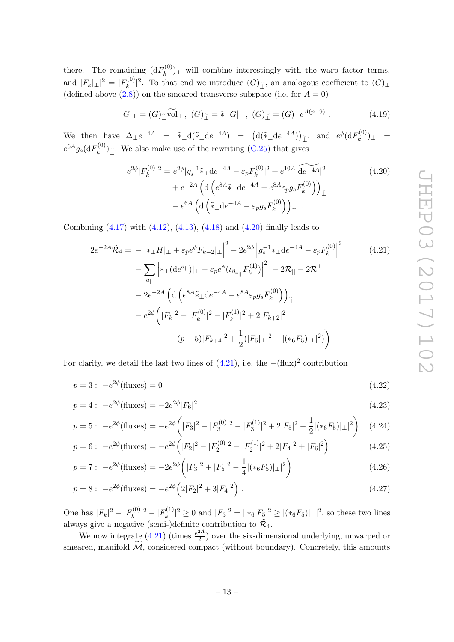there. The remaining  $(dF_k^{(0)})$  $(k_n^{(0)})$ <sub>⊥</sub> will combine interestingly with the warp factor terms, and  $|F_k|_{\perp}|^2 = |F_k^{(0)}|$  $\sum_{k=0}^{\lfloor n/2 \rfloor}$ . To that end we introduce  $(G)_{\tilde{\perp}}$ , an analogous coefficient to  $(G)_{\perp}$ (defined above  $(2.8)$ ) on the smeared transverse subspace (i.e. for  $A = 0$ )

<span id="page-13-2"></span>
$$
G|_{\perp} = (G)_{\tilde{\perp}} \widetilde{\text{vol}}_{\perp}, \ (G)_{\tilde{\perp}} = \tilde{\ast}_{\perp} G|_{\perp}, \ (G)_{\tilde{\perp}} = (G)_{\perp} e^{A(p-9)} . \tag{4.19}
$$

We then have  $\tilde{\Delta}_{\perp}e^{-4A} = \tilde{*}_{\perp}d(\tilde{*}_{\perp}de^{-4A}) = (d(\tilde{*}_{\perp}de^{-4A}))_{\perp}$ , and  $e^{\phi}(dF_k^{(0)})$  $\binom{n^{(U)}}{k}_{\perp}$  =  $e^{6A}g_s(\mathrm{d}F_k^{(0)}$  $(k^{(0)})_{\tilde{\perp}}$ . We also make use of the rewriting [\(C.25\)](#page-27-4) that gives

<span id="page-13-1"></span><span id="page-13-0"></span>
$$
e^{2\phi} |F_k^{(0)}|^2 = e^{2\phi} |g_s^{-1} \tilde{\ast}_\perp \mathrm{d} e^{-4A} - \varepsilon_p F_k^{(0)}|^2 + e^{10A} |\widetilde{\mathrm{d} e^{-4A}}|^2 + e^{-2A} \left( \mathrm{d} \left( e^{8A} \tilde{\ast}_\perp \mathrm{d} e^{-4A} - e^{8A} \varepsilon_p g_s F_k^{(0)} \right) \right)_{\tilde{\perp}} - e^{6A} \left( \mathrm{d} \left( \tilde{\ast}_\perp \mathrm{d} e^{-4A} - \varepsilon_p g_s F_k^{(0)} \right) \right)_{\tilde{\perp}}.
$$
\n(4.20)

Combining  $(4.17)$  with  $(4.12)$ ,  $(4.13)$ ,  $(4.18)$  and  $(4.20)$  finally leads to

$$
2e^{-2A}\tilde{\mathcal{R}}_{4} = -\left| *_{\perp}H\right|_{\perp} + \varepsilon_{p}e^{\phi}F_{k-2}\left|_{\perp}\right|^{2} - 2e^{2\phi}\left|g_{s}^{-1}\tilde{*}_{\perp}\mathrm{d}e^{-4A} - \varepsilon_{p}F_{k}^{(0)}\right|^{2}
$$
\n
$$
-\sum_{a_{||}}\left| *_{\perp}(\mathrm{d}e^{a_{||}})\right|_{\perp} - \varepsilon_{p}e^{\phi}(\iota_{\partial_{a_{||}}}F_{k}^{(1)})\right|^{2} - 2\mathcal{R}_{||} - 2\mathcal{R}_{||}^{\perp}
$$
\n
$$
- 2e^{-2A}\left(\mathrm{d}\left(e^{8A}\tilde{*}_{\perp}\mathrm{d}e^{-4A} - e^{8A}\varepsilon_{p}g_{s}F_{k}^{(0)}\right)\right)_{\perp}
$$
\n
$$
- e^{2\phi}\left(|F_{k}|^{2} - |F_{k}^{(0)}|^{2} - |F_{k}^{(1)}|^{2} + 2|F_{k+2}|^{2}\right)
$$
\n
$$
+ (p-5)|F_{k+4}|^{2} + \frac{1}{2}(|F_{5}|\perp|^{2} - |(*_{6}F_{5})|\perp|^{2})\right)
$$
\n(4.21)

For clarity, we detail the last two lines of  $(4.21)$ , i.e. the  $-(\text{flux})^2$  contribution

$$
p = 3: -e^{2\phi}(\text{fluxes}) = 0 \tag{4.22}
$$

$$
p = 4: -e^{2\phi}(\text{fluxes}) = -2e^{2\phi}|F_6|^2
$$
\n(4.23)

$$
p = 5: \ -e^{2\phi}(\text{fluxes}) = -e^{2\phi}\left(|F_3|^2 - |F_3^{(0)}|^2 - |F_3^{(1)}|^2 + 2|F_5|^2 - \frac{1}{2}|(*_6F_5)|_{\perp}|^2\right) \tag{4.24}
$$

$$
p = 6: -e^{2\phi}(\text{fluxes}) = -e^{2\phi}\left(|F_2|^2 - |F_2^{(0)}|^2 - |F_2^{(1)}|^2 + 2|F_4|^2 + |F_6|^2\right)
$$
(4.25)

$$
p = 7: \ -e^{2\phi}(\text{fluxes}) = -2e^{2\phi}\left(|F_3|^2 + |F_5|^2 - \frac{1}{4}|(*_6F_5)|_{\perp}|^2\right) \tag{4.26}
$$

$$
p = 8: -e^{2\phi}(\text{fluxes}) = -e^{2\phi}\left(2|F_2|^2 + 3|F_4|^2\right). \tag{4.27}
$$

One has  $|F_k|^2 - |F_k^{(0)}|$  $|k^{(0)}|^2 - |F_k^{(1)}|$  $|F_5|^2 \ge 0$  and  $|F_5|^2 = |*_6 F_5|^2 \ge |(*_6 F_5)| \perp |^2$ , so these two lines always give a negative (semi-)definite contribution to  $\tilde{\mathcal{R}}_4$ .

We now integrate  $(4.21)$  (times  $\frac{e^{2A}}{2}$  $\frac{24}{2}$ ) over the six-dimensional underlying, unwarped or smeared, manifold  $\widetilde{\mathcal{M}}$ , considered compact (without boundary). Concretely, this amounts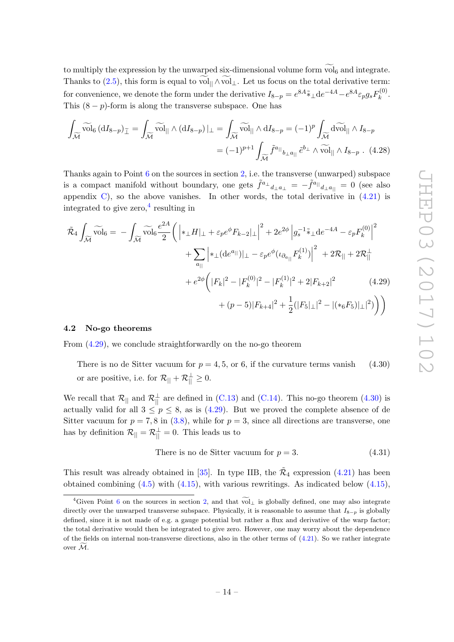to multiply the expression by the unwarped six-dimensional volume form  $\mathrm{vol}_6$  and integrate. Thanks to [\(2.5\)](#page-5-2), this form is equal to vol<sub> $|| \wedge$ </sub> vol  $\bot$ . Let us focus on the total derivative term: for convenience, we denote the form under the derivative  $I_{8-p} = e^{8A} \tilde{*}_\perp d e^{-4A} - e^{8A} \varepsilon_p g_s F_k^{(0)}$  $\frac{1}{k}$ . This  $(8 - p)$ -form is along the transverse subspace. One has

$$
\int_{\widetilde{\mathcal{M}}} \widetilde{\text{vol}}_6 \left( \mathrm{d}I_{8-p} \right)_{\widetilde{\perp}} = \int_{\widetilde{\mathcal{M}}} \widetilde{\text{vol}}_{||} \wedge \left( \mathrm{d}I_{8-p} \right) |_{\perp} = \int_{\widetilde{\mathcal{M}}} \widetilde{\text{vol}}_{||} \wedge \mathrm{d}I_{8-p} = (-1)^p \int_{\widetilde{\mathcal{M}}} \mathrm{d} \widetilde{\text{vol}}_{||} \wedge I_{8-p}
$$
\n
$$
= (-1)^{p+1} \int_{\widetilde{\mathcal{M}}} \widetilde{f}^{a_{||}}_{b_{\perp} a_{||}} \widetilde{e}^{b_{\perp}} \wedge \widetilde{\text{vol}}_{||} \wedge I_{8-p} . \tag{4.28}
$$

Thanks again to Point  $6$  on the sources in section [2,](#page-4-0) i.e. the transverse (unwarped) subspace is a compact manifold without boundary, one gets  $\tilde{f}^{a_\perp}{}_{d_\perp a_\perp} = -\tilde{f}^{a_\parallel}{}_{d_\perp a_\parallel} = 0$  (see also appendix  $C$ , so the above vanishes. In other words, the total derivative in  $(4.21)$  is integrated to give zero,  $4$  resulting in

$$
\tilde{\mathcal{R}}_4 \int_{\widetilde{\mathcal{M}}} \widetilde{\text{vol}}_6 = - \int_{\widetilde{\mathcal{M}}} \widetilde{\text{vol}}_6 \frac{e^{2A}}{2} \bigg( \left| *_{\perp} H \right|_{\perp} + \varepsilon_p e^{\phi} F_{k-2} |_{\perp} \right|^2 + 2e^{2\phi} \left| g_s^{-1} \tilde{*}_{\perp} \text{d} e^{-4A} - \varepsilon_p F_k^{(0)} \right|^2 \n+ \sum_{a_{||}} \left| *_{\perp} (\text{d} e^{a_{||}}) |_{\perp} - \varepsilon_p e^{\phi} (\iota_{\partial_{a_{||}}} F_k^{(1)}) \right|^2 + 2\mathcal{R}_{||} + 2\mathcal{R}_{||}^{\perp} \n+ e^{2\phi} \bigg( |F_k|^2 - |F_k^{(0)}|^2 - |F_k^{(1)}|^2 + 2|F_{k+2}|^2 \qquad (4.29) \n+ (p-5) |F_{k+4}|^2 + \frac{1}{2} (|F_5|_{\perp}|^2 - |(*_6 F_5)|_{\perp}|^2) \bigg) \bigg)
$$

#### <span id="page-14-0"></span>4.2 No-go theorems

From [\(4.29\)](#page-14-2), we conclude straightforwardly on the no-go theorem

There is no de Sitter vacuum for  $p = 4, 5$ , or 6, if the curvature terms vanish (4.30) or are positive, i.e. for  $\mathcal{R}_{||} + \mathcal{R}_{||}^{\perp} \geq 0$ .

We recall that  $\mathcal{R}_{\parallel}$  and  $\mathcal{R}_{\parallel}^{\perp}$  are defined in [\(C.13\)](#page-25-1) and [\(C.14\)](#page-25-2). This no-go theorem [\(4.30\)](#page-14-3) is actually valid for all  $3 \leq p \leq 8$ , as is  $(4.29)$ . But we proved the complete absence of de Sitter vacuum for  $p = 7, 8$  in  $(3.8)$ , while for  $p = 3$ , since all directions are transverse, one has by definition  $\mathcal{R}_{\parallel} = \mathcal{R}_{\parallel}^{\perp} = 0$ . This leads us to

<span id="page-14-4"></span><span id="page-14-3"></span><span id="page-14-2"></span>There is no de Sitter vacuum for 
$$
p = 3
$$
. (4.31)

This result was already obtained in [\[35\]](#page-29-2). In type IIB, the  $\tilde{\mathcal{R}}_4$  expression [\(4.21\)](#page-13-0) has been obtained combining  $(4.5)$  with  $(4.15)$ , with various rewritings. As indicated below  $(4.15)$ ,

<span id="page-14-1"></span><sup>&</sup>lt;sup>4</sup>Given Point [6](#page-6-4) on the sources in section [2,](#page-4-0) and that  $\widetilde{\text{vol}}_{\perp}$  is globally defined, one may also integrate directly over the unwarped transverse subspace. Physically, it is reasonable to assume that  $I_{8-p}$  is globally defined, since it is not made of e.g. a gauge potential but rather a flux and derivative of the warp factor; the total derivative would then be integrated to give zero. However, one may worry about the dependence of the fields on internal non-transverse directions, also in the other terms of  $(4.21)$ . So we rather integrate over  $\overline{\mathcal{M}}$ .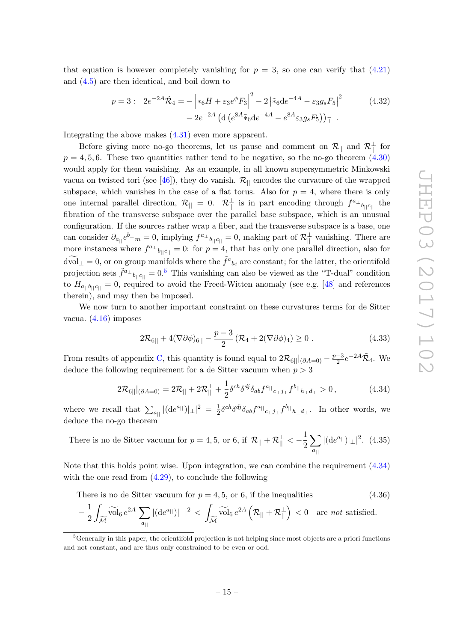that equation is however completely vanishing for  $p = 3$ , so one can verify that  $(4.21)$ and [\(4.5\)](#page-10-1) are then identical, and boil down to

<span id="page-15-1"></span>
$$
p = 3: \quad 2e^{-2A}\tilde{\mathcal{R}}_4 = -\left| *_6H + \varepsilon_3 e^{\phi} F_3 \right|^2 - 2\left| *_6 \text{d} e^{-4A} - \varepsilon_3 g_s F_5 \right|^2
$$
\n
$$
- 2e^{-2A} \left( \text{d} \left( e^{8A} *_6 \text{d} e^{-4A} - e^{8A} \varepsilon_3 g_s F_5 \right) \right) \tilde{\perp}.
$$
\n(4.32)

Integrating the above makes [\(4.31\)](#page-14-4) even more apparent.

Before giving more no-go theorems, let us pause and comment on  $\mathcal{R}_{||}$  and  $\mathcal{R}_{||}^{\perp}$  for  $p = 4, 5, 6$ . These two quantities rather tend to be negative, so the no-go theorem  $(4.30)$ would apply for them vanishing. As an example, in all known supersymmetric Minkowski vacua on twisted tori (see [\[46\]](#page-29-14)), they do vanish.  $\mathcal{R}_{\parallel}$  encodes the curvature of the wrapped subspace, which vanishes in the case of a flat torus. Also for  $p = 4$ , where there is only one internal parallel direction,  $\mathcal{R}_{\parallel} = 0$ .  $\mathcal{R}_{\parallel}^{\perp}$  is in part encoding through  $f^{a_{\perp}}{}_{b_{\parallel}c_{\parallel}}$  the fibration of the transverse subspace over the parallel base subspace, which is an unusual configuration. If the sources rather wrap a fiber, and the transverse subspace is a base, one can consider  $\partial_{a_{||}}e^{b_{\perp}}=0$ , implying  $f^{a_{\perp}}{}_{b_{||}c_{||}}=0$ , making part of  $\mathcal{R}^{\perp}_{||}$  vanishing. There are more instances where  $f^{a_\perp}{}_{b_{\parallel}c_{\parallel}} = 0$ : for  $p = 4$ , that has only one parallel direction, also for  $d\widetilde{\text{vol}}_{\perp} = 0$ , or on group manifolds where the  $\tilde{f}^a{}_{bc}$  are constant; for the latter, the orientifold projection sets  $\tilde{f}^{a_\perp}{}_{b_{||}c_{||}} = 0.5$  $\tilde{f}^{a_\perp}{}_{b_{||}c_{||}} = 0.5$  This vanishing can also be viewed as the "T-dual" condition to  $H_{a_{||}b_{||}c_{||}}=0$ , required to avoid the Freed-Witten anomaly (see e.g. [\[48\]](#page-30-1) and references therein), and may then be imposed.

We now turn to another important constraint on these curvatures terms for de Sitter vacua. [\(4.16\)](#page-12-0) imposes

$$
2\mathcal{R}_{6||} + 4(\nabla\partial\phi)_{6||} - \frac{p-3}{2} \left(\mathcal{R}_4 + 2(\nabla\partial\phi)_4\right) \ge 0.
$$
 (4.33)

From results of appendix [C,](#page-24-0) this quantity is found equal to  $2\mathcal{R}_{6||}|_{(\partial A=0)} - \frac{p-3}{2}$  $\frac{-3}{2}e^{-2A}\tilde{\mathcal{R}}_4$ . We deduce the following requirement for a de Sitter vacuum when  $p > 3$ 

<span id="page-15-3"></span><span id="page-15-0"></span>
$$
2\mathcal{R}_{6||}|_{(\partial A=0)} = 2\mathcal{R}_{||} + 2\mathcal{R}_{||}^{\perp} + \frac{1}{2}\delta^{ch}\delta^{dj}\delta_{ab}f^{a_{||}}{}_{c_{\perp}j_{\perp}}f^{b_{||}}{}_{h_{\perp}d_{\perp}} > 0\,,\tag{4.34}
$$

where we recall that  $\sum_{a_{||}} |(\mathrm{d}e^{a_{||}})|_{\perp}|^2 = \frac{1}{2}$  $\frac{1}{2} \delta^{ch} \delta^{dj} \delta_{ab} f^{a_{||}}{}_{c_{\perp} j_{\perp}} f^{b_{||}}{}_{h_{\perp} d_{\perp}}$ . In other words, we deduce the no-go theorem

There is no de Sitter vacuum for  $p = 4, 5$ , or 6, if  $\mathcal{R}_{\parallel} + \mathcal{R}_{\parallel}^{\perp} < -\frac{1}{2}$ 2  $\sum$  $a_{\parallel}$  $|(\mathrm{d}e^{a_{\parallel}})|_{\perp}|^2$ . (4.35)

Note that this holds point wise. Upon integration, we can combine the requirement  $(4.34)$ with the one read from  $(4.29)$ , to conclude the following

There is no de Sitter vacuum for 
$$
p = 4, 5
$$
, or 6, if the inequalities 
$$
(4.36)
$$

$$
-\left.\frac{1}{2}\int_{\widetilde{\mathcal{M}}}\widetilde{\mathrm{vol}}_{6}\,e^{2A}\,\sum_{a_{||}}|(de^{a_{||}})|_{\perp}|^2\,<\,\int_{\widetilde{\mathcal{M}}}\widetilde{\mathrm{vol}}_{6}\,e^{2A}\left(\mathcal{R}_{||}+\mathcal{R}_{||}^{\perp}\right)\,<0\quad\textrm{are not satisfied}.
$$

<span id="page-15-2"></span><sup>5</sup>Generally in this paper, the orientifold projection is not helping since most objects are a priori functions and not constant, and are thus only constrained to be even or odd.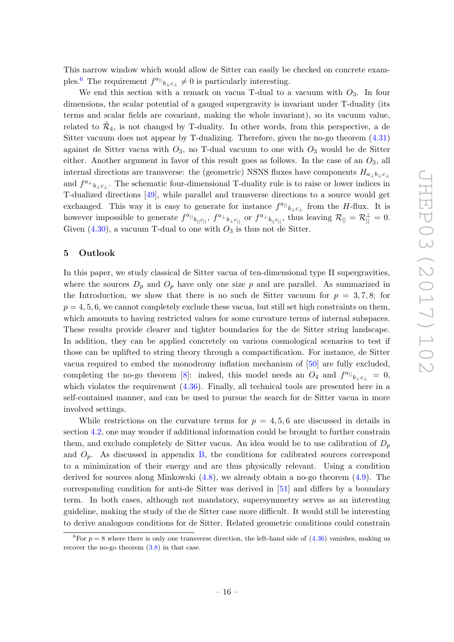This narrow window which would allow de Sitter can easily be checked on concrete exam-ples.<sup>[6](#page-16-1)</sup> The requirement  $f^{a_{||}}{}_{b_{\perp}c_{\perp}} \neq 0$  is particularly interesting.

We end this section with a remark on vacua T-dual to a vacuum with  $O_3$ . In four dimensions, the scalar potential of a gauged supergravity is invariant under T-duality (its terms and scalar fields are covariant, making the whole invariant), so its vacuum value, related to  $\tilde{\mathcal{R}}_4$ , is not changed by T-duality. In other words, from this perspective, a de Sitter vacuum does not appear by T-dualizing. Therefore, given the no-go theorem [\(4.31\)](#page-14-4) against de Sitter vacua with  $O_3$ , no T-dual vacuum to one with  $O_3$  would be de Sitter either. Another argument in favor of this result goes as follows. In the case of an  $O_3$ , all internal directions are transverse: the (geometric) NSNS fluxes have components  $H_{a+b+c}$ and  $f^{a_{\perp}}{}_{b_{\perp}c_{\perp}}$ . The schematic four-dimensional T-duality rule is to raise or lower indices in T-dualized directions [\[49\]](#page-30-2), while parallel and transverse directions to a source would get exchanged. This way it is easy to generate for instance  $f^{a} \parallel_{b_{\perp} c_{\perp}}$  from the H-flux. It is however impossible to generate  $f^{a_{||}}{}_{b_{||}c_{||}}, f^{a_{\perp}}{}_{b_{\perp}c_{||}}$  or  $f^{a_{\perp}}{}_{b_{||}c_{||}},$  thus leaving  $\mathcal{R}_{||} = \mathcal{R}_{||}^{\perp} = 0$ . Given  $(4.30)$ , a vacuum T-dual to one with  $O_3$  is thus not de Sitter.

#### <span id="page-16-0"></span>5 Outlook

In this paper, we study classical de Sitter vacua of ten-dimensional type II supergravities, where the sources  $D_p$  and  $O_p$  have only one size p and are parallel. As summarized in the Introduction, we show that there is no such de Sitter vacuum for  $p = 3, 7, 8$ ; for  $p = 4, 5, 6$ , we cannot completely exclude these vacua, but still set high constraints on them, which amounts to having restricted values for some curvature terms of internal subspaces. These results provide clearer and tighter boundaries for the de Sitter string landscape. In addition, they can be applied concretely on various cosmological scenarios to test if those can be uplifted to string theory through a compactification. For instance, de Sitter vacua required to embed the monodromy inflation mechanism of [\[50\]](#page-30-3) are fully excluded, completing the no-go theorem [\[8\]](#page-28-2): indeed, this model needs an  $O_4$  and  $f^{a} \rvert_{b_\perp c_\perp} = 0$ , which violates the requirement  $(4.36)$ . Finally, all technical tools are presented here in a self-contained manner, and can be used to pursue the search for de Sitter vacua in more involved settings.

While restrictions on the curvature terms for  $p = 4, 5, 6$  are discussed in details in section [4.2,](#page-14-0) one may wonder if additional information could be brought to further constrain them, and exclude completely de Sitter vacua. An idea would be to use calibration of  $D_p$ and  $O_p$ . As discussed in appendix [B,](#page-22-0) the conditions for calibrated sources correspond to a minimization of their energy and are thus physically relevant. Using a condition derived for sources along Minkowski [\(4.8\)](#page-10-6), we already obtain a no-go theorem [\(4.9\)](#page-11-0). The corresponding condition for anti-de Sitter was derived in [\[51\]](#page-30-4) and differs by a boundary term. In both cases, although not mandatory, supersymmetry serves as an interesting guideline, making the study of the de Sitter case more difficult. It would still be interesting to derive analogous conditions for de Sitter. Related geometric conditions could constrain

<span id="page-16-1"></span><sup>&</sup>lt;sup>6</sup>For  $p = 8$  where there is only one transverse direction, the left-hand side of [\(4.36\)](#page-15-0) vanishes, making us recover the no-go theorem [\(3.8\)](#page-8-6) in that case.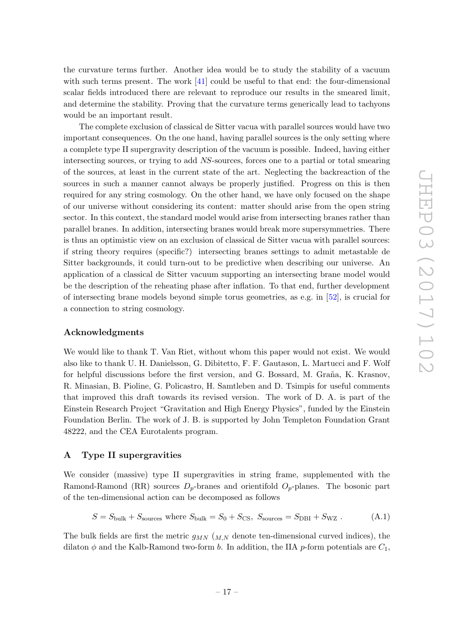the curvature terms further. Another idea would be to study the stability of a vacuum with such terms present. The work [\[41\]](#page-29-15) could be useful to that end: the four-dimensional scalar fields introduced there are relevant to reproduce our results in the smeared limit, and determine the stability. Proving that the curvature terms generically lead to tachyons would be an important result.

The complete exclusion of classical de Sitter vacua with parallel sources would have two important consequences. On the one hand, having parallel sources is the only setting where a complete type II supergravity description of the vacuum is possible. Indeed, having either intersecting sources, or trying to add NS-sources, forces one to a partial or total smearing of the sources, at least in the current state of the art. Neglecting the backreaction of the sources in such a manner cannot always be properly justified. Progress on this is then required for any string cosmology. On the other hand, we have only focused on the shape of our universe without considering its content: matter should arise from the open string sector. In this context, the standard model would arise from intersecting branes rather than parallel branes. In addition, intersecting branes would break more supersymmetries. There is thus an optimistic view on an exclusion of classical de Sitter vacua with parallel sources: if string theory requires (specific?) intersecting branes settings to admit metastable de Sitter backgrounds, it could turn-out to be predictive when describing our universe. An application of a classical de Sitter vacuum supporting an intersecting brane model would be the description of the reheating phase after inflation. To that end, further development of intersecting brane models beyond simple torus geometries, as e.g. in [\[52\]](#page-30-5), is crucial for a connection to string cosmology.

# Acknowledgments

We would like to thank T. Van Riet, without whom this paper would not exist. We would also like to thank U. H. Danielsson, G. Dibitetto, F. F. Gautason, L. Martucci and F. Wolf for helpful discussions before the first version, and G. Bossard, M. Graña, K. Krasnov, R. Minasian, B. Pioline, G. Policastro, H. Samtleben and D. Tsimpis for useful comments that improved this draft towards its revised version. The work of D. A. is part of the Einstein Research Project "Gravitation and High Energy Physics", funded by the Einstein Foundation Berlin. The work of J. B. is supported by John Templeton Foundation Grant 48222, and the CEA Eurotalents program.

# <span id="page-17-0"></span>A Type II supergravities

We consider (massive) type II supergravities in string frame, supplemented with the Ramond-Ramond (RR) sources  $D_p$ -branes and orientifold  $O_p$ -planes. The bosonic part of the ten-dimensional action can be decomposed as follows

$$
S = S_{\text{bulk}} + S_{\text{sources}} \text{ where } S_{\text{bulk}} = S_0 + S_{\text{CS}}, \ S_{\text{sources}} = S_{\text{DBI}} + S_{\text{WZ}} \,. \tag{A.1}
$$

The bulk fields are first the metric  $g_{MN}$  ( $_{M,N}$  denote ten-dimensional curved indices), the dilaton  $\phi$  and the Kalb-Ramond two-form b. In addition, the IIA p-form potentials are  $C_1$ ,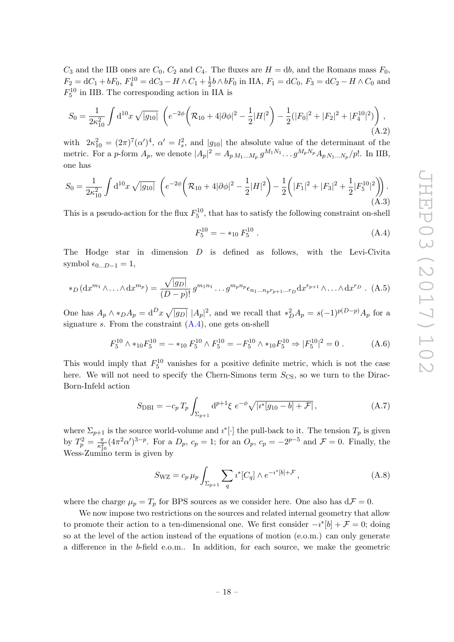$C_3$  and the IIB ones are  $C_0$ ,  $C_2$  and  $C_4$ . The fluxes are  $H = db$ , and the Romans mass  $F_0$ ,  $F_2 = dC_1 + bF_0, F_4^{10} = dC_3 - H \wedge C_1 + \frac{1}{2}$  $\frac{1}{2}b \wedge bF_0$  in IIA,  $F_1 = dC_0$ ,  $F_3 = dC_2 - H \wedge C_0$  and  $F_5^{10}$  in IIB. The corresponding action in IIA is

$$
S_0 = \frac{1}{2\kappa_{10}^2} \int d^{10}x \sqrt{|g_{10}|} \left( e^{-2\phi} \left( \mathcal{R}_{10} + 4|\partial\phi|^2 - \frac{1}{2}|H|^2 \right) - \frac{1}{2} (|F_0|^2 + |F_2|^2 + |F_4^{10}|^2) \right), \tag{A.2}
$$

with  $2\kappa_{10}^2 = (2\pi)^7 (\alpha')^4$ ,  $\alpha' = l_s^2$ , and  $|g_{10}|$  the absolute value of the determinant of the metric. For a p-form  $A_p$ , we denote  $|A_p|^2 = A_p M_{1...M_p} g^{M_1 N_1} \dots g^{M_p N_p} A_p N_{1...N_p} / p!$ . In IIB, one has

$$
S_0 = \frac{1}{2\kappa_{10}^2} \int d^{10}x \sqrt{|g_{10}|} \left( e^{-2\phi} \left( \mathcal{R}_{10} + 4|\partial\phi|^2 - \frac{1}{2}|H|^2 \right) - \frac{1}{2} \left( |F_1|^2 + |F_3|^2 + \frac{1}{2}|F_5^{10}|^2 \right) \right). \tag{A.3}
$$

This is a pseudo-action for the flux  $F_5^{10}$ , that has to satisfy the following constraint on-shell

<span id="page-18-1"></span>
$$
F_5^{10} = - *_{10} F_5^{10} \tag{A.4}
$$

The Hodge star in dimension  $D$  is defined as follows, with the Levi-Civita symbol  $\epsilon_{0...D-1} = 1$ ,

<span id="page-18-0"></span>
$$
*_{D}(\mathrm{d}x^{m_1}\wedge\ldots\wedge\mathrm{d}x^{m_p})=\frac{\sqrt{|g_D|}}{(D-p)!}g^{m_1n_1}\ldots g^{m_p n_p}\epsilon_{n_1\ldots n_p r_{p+1}\ldots r_D}\mathrm{d}x^{r_{p+1}}\wedge\ldots\wedge\mathrm{d}x^{r_D}.
$$
 (A.5)

One has  $A_p \wedge *_{D} A_p = d^{D}x \sqrt{|g_D|} |A_p|^2$ , and we recall that  $*_{D}^{2} A_p = s(-1)^{p(D-p)} A_p$  for a signature s. From the constraint  $(A.4)$ , one gets on-shell

<span id="page-18-2"></span>
$$
F_5^{10} \wedge *_{10} F_5^{10} = - *_{10} F_5^{10} \wedge F_5^{10} = -F_5^{10} \wedge *_{10} F_5^{10} \Rightarrow |F_5^{10}|^2 = 0.
$$
 (A.6)

This would imply that  $F_5^{10}$  vanishes for a positive definite metric, which is not the case here. We will not need to specify the Chern-Simons term  $S_{\text{CS}}$ , so we turn to the Dirac-Born-Infeld action

$$
S_{\text{DBI}} = -c_p T_p \int_{\Sigma_{p+1}} d^{p+1} \xi \ e^{-\phi} \sqrt{|i^*[g_{10} - b] + \mathcal{F}|}, \tag{A.7}
$$

where  $\Sigma_{p+1}$  is the source world-volume and  $\imath^*[\cdot]$  the pull-back to it. The tension  $T_p$  is given by  $T_p^2 = \frac{\pi}{\kappa_1^2}$  $\frac{\pi}{\kappa_{10}^2}(4\pi^2\alpha')^{3-p}$ . For a  $D_p$ ,  $c_p = 1$ ; for an  $O_p$ ,  $c_p = -2^{p-5}$  and  $\mathcal{F} = 0$ . Finally, the Wess-Zumino term is given by

$$
S_{\rm WZ} = c_p \,\mu_p \int_{\Sigma_{p+1}} \sum_q i^* [C_q] \wedge e^{-i^* [b] + \mathcal{F}}, \tag{A.8}
$$

where the charge  $\mu_p = T_p$  for BPS sources as we consider here. One also has  $d\mathcal{F} = 0$ .

We now impose two restrictions on the sources and related internal geometry that allow to promote their action to a ten-dimensional one. We first consider  $-i^*[b] + \mathcal{F} = 0$ ; doing so at the level of the action instead of the equations of motion (e.o.m.) can only generate a difference in the b-field e.o.m.. In addition, for each source, we make the geometric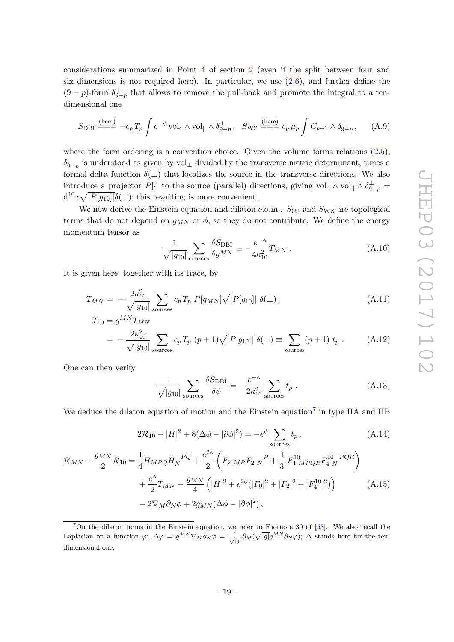considerations summarized in Point [4](#page-5-1) of section [2](#page-4-0) (even if the split between four and six dimensions is not required here). In particular, we use  $(2.6)$ , and further define the  $(9-p)$ -form  $\delta_{9-p}^{\perp}$  that allows to remove the pull-back and promote the integral to a tendimensional one

<span id="page-19-3"></span>
$$
S_{\text{DBI}} \stackrel{\text{(here)}}{=} -c_p \, T_p \int e^{-\phi} \, \text{vol}_4 \wedge \text{vol}_{||} \wedge \delta_{9-p}^{\perp} \,, \quad S_{\text{WZ}} \stackrel{\text{(here)}}{=} c_p \, \mu_p \int C_{p+1} \wedge \delta_{9-p}^{\perp} \,, \tag{A.9}
$$

where the form ordering is a convention choice. Given the volume forms relations  $(2.5)$ ,  $\delta_{9-p}^{\perp}$  is understood as given by vol<sub>⊥</sub> divided by the transverse metric determinant, times a formal delta function  $\delta(\perp)$  that localizes the source in the transverse directions. We also introduce a projector  $P[\cdot]$  to the source (parallel) directions, giving vol<sub>4</sub>  $\wedge$  vol<sub>||</sub>  $\wedge \delta_{9-p}^{\perp}$  =  $d^{10}x\sqrt{|P[g_{10}]|}\delta(\perp)$ ; this rewriting is more convenient.

We now derive the Einstein equation and dilaton e.o.m..  $S_{\text{CS}}$  and  $S_{\text{WZ}}$  are topological terms that do not depend on  $g_{MN}$  or  $\phi$ , so they do not contribute. We define the energy momentum tensor as

$$
\frac{1}{\sqrt{|g_{10}|}} \sum_{\text{sources}} \frac{\delta S_{\text{DBI}}}{\delta g^{MN}} \equiv -\frac{e^{-\phi}}{4\kappa_{10}^2} T_{MN} \ . \tag{A.10}
$$

It is given here, together with its trace, by

$$
T_{MN} = -\frac{2\kappa_{10}^2}{\sqrt{|g_{10}|}} \sum_{\text{sources}} c_p T_p P[g_{MN}] \sqrt{|P[g_{10}]|} \delta(\perp), \tag{A.11}
$$

$$
T_{10} = g^{MN} T_{MN}
$$
  
=  $-\frac{2\kappa_{10}^2}{\sqrt{|g_{10}|}} \sum_{\text{sources}} c_p T_p (p+1) \sqrt{|P[g_{10}]|} \delta(\perp) \equiv \sum_{\text{sources}} (p+1) t_p$ . (A.12)

One can then verify

<span id="page-19-1"></span><span id="page-19-0"></span>
$$
\frac{1}{\sqrt{|g_{10}|}} \sum_{\text{sources}} \frac{\delta S_{\text{DBI}}}{\delta \phi} = -\frac{e^{-\phi}}{2\kappa_{10}^2} \sum_{\text{sources}} t_p \tag{A.13}
$$

We deduce the dilaton equation of motion and the Einstein equation<sup>[7](#page-19-2)</sup> in type IIA and IIB

$$
2\mathcal{R}_{10} - |H|^2 + 8(\Delta\phi - |\partial\phi|^2) = -e^{\phi} \sum_{\text{sources}} t_p, \qquad (A.14)
$$

$$
\mathcal{R}_{MN} - \frac{g_{MN}}{2} \mathcal{R}_{10} = \frac{1}{4} H_{MPQ} H_N^{PQ} + \frac{e^{2\phi}}{2} \left( F_{2\ MP} F_{2\ N}^P + \frac{1}{3!} F_4^{10} M_{PQR} F_4^{10\ PQR} \right) + \frac{e^{\phi}}{2} T_{MN} - \frac{g_{MN}}{4} \left( |H|^2 + e^{2\phi} (|F_0|^2 + |F_2|^2 + |F_4^{10}|^2) \right) - 2 \nabla_M \partial_N \phi + 2 g_{MN} (\Delta \phi - |\partial \phi|^2),
$$
\n(A.15)

<span id="page-19-2"></span><sup>&</sup>lt;sup>7</sup>On the dilaton terms in the Einstein equation, we refer to Footnote 30 of  $[53]$ . We also recall the Laplacian on a function  $\varphi: \Delta \varphi = g^{MN} \nabla_M \partial_N \varphi = \frac{1}{\sqrt{|g|}} \partial_M (\sqrt{|g|} g^{MN} \partial_N \varphi); \Delta$  stands here for the tendimensional one.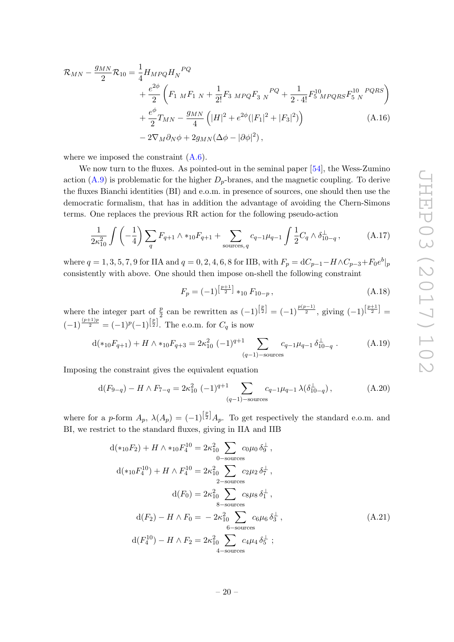$$
\mathcal{R}_{MN} - \frac{g_{MN}}{2} \mathcal{R}_{10} = \frac{1}{4} H_{MPQ} H_N^{PQ} \n+ \frac{e^{2\phi}}{2} \left( F_{1\ M} F_{1\ N} + \frac{1}{2!} F_{3\ MPQ} F_{3\ N}^{PQ} + \frac{1}{2 \cdot 4!} F_{5\ MPQRS}^{10} F_{5\ N}^{10} \right) \n+ \frac{e^{\phi}}{2} T_{MN} - \frac{g_{MN}}{4} \left( |H|^2 + e^{2\phi} (|F_1|^2 + |F_3|^2) \right) \n- 2 \nabla_M \partial_N \phi + 2 g_{MN} (\Delta \phi - |\partial \phi|^2),
$$
\n(A.16)

where we imposed the constraint  $(A.6)$ .

We now turn to the fluxes. As pointed-out in the seminal paper [\[54\]](#page-30-7), the Wess-Zumino action  $(A.9)$  is problematic for the higher  $D_p$ -branes, and the magnetic coupling. To derive the fluxes Bianchi identities (BI) and e.o.m. in presence of sources, one should then use the democratic formalism, that has in addition the advantage of avoiding the Chern-Simons terms. One replaces the previous RR action for the following pseudo-action

$$
\frac{1}{2\kappa_{10}^2} \int \left(-\frac{1}{4}\right) \sum_q F_{q+1} \wedge *_{10} F_{q+1} + \sum_{\text{sources}, q} c_{q-1} \mu_{q-1} \int \frac{1}{2} C_q \wedge \delta_{10-q}^\perp ,\tag{A.17}
$$

where  $q = 1, 3, 5, 7, 9$  for IIA and  $q = 0, 2, 4, 6, 8$  for IIB, with  $F_p = dC_{p-1} - H \wedge C_{p-3} + F_0 e^b\vert_p$ consistently with above. One should then impose on-shell the following constraint

<span id="page-20-1"></span><span id="page-20-0"></span>
$$
F_p = (-1)^{\left[\frac{p+1}{2}\right]} *_{10} F_{10-p}, \qquad (A.18)
$$

where the integer part of  $\frac{p}{2}$  can be rewritten as  $(-1)^{\left[\frac{p}{2}\right]} = (-1)^{\frac{p(p-1)}{2}}$ , giving  $(-1)^{\left[\frac{p+1}{2}\right]} =$  $(-1)^{\frac{(p+1)p}{2}} = (-1)^p (-1)^{\left[\frac{p}{2}\right]}$ . The e.o.m. for  $C_q$  is now

<span id="page-20-2"></span>
$$
d(\ast_{10}F_{q+1}) + H \wedge \ast_{10}F_{q+3} = 2\kappa_{10}^2 (-1)^{q+1} \sum_{(q-1)-\text{sources}} c_{q-1}\mu_{q-1}\,\delta_{10-q}^\perp . \tag{A.19}
$$

Imposing the constraint gives the equivalent equation

$$
d(F_{9-q}) - H \wedge F_{7-q} = 2\kappa_{10}^2 \ (-1)^{q+1} \sum_{(q-1)-\text{sources}} c_{q-1} \mu_{q-1} \lambda(\delta_{10-q}^\perp), \tag{A.20}
$$

where for a p-form  $A_p$ ,  $\lambda(A_p) = (-1)^{\left[\frac{p}{2}\right]} A_p$ . To get respectively the standard e.o.m. and BI, we restrict to the standard fluxes, giving in IIA and IIB

$$
d(*_{10}F_2) + H \wedge *_{10}F_4^{10} = 2\kappa_{10}^2 \sum_{0-\text{sources}} c_0\mu_0 \delta_9^{\perp},
$$
  
\n
$$
d(*_{10}F_4^{10}) + H \wedge F_4^{10} = 2\kappa_{10}^2 \sum_{2-\text{sources}} c_2\mu_2 \delta_7^{\perp},
$$
  
\n
$$
d(F_0) = 2\kappa_{10}^2 \sum_{8-\text{sources}} c_8\mu_8 \delta_1^{\perp},
$$
  
\n
$$
d(F_2) - H \wedge F_0 = -2\kappa_{10}^2 \sum_{6-\text{sources}} c_6\mu_6 \delta_3^{\perp},
$$
  
\n
$$
d(F_4^{10}) - H \wedge F_2 = 2\kappa_{10}^2 \sum_{4-\text{sources}} c_4\mu_4 \delta_5^{\perp};
$$
\n(A.21)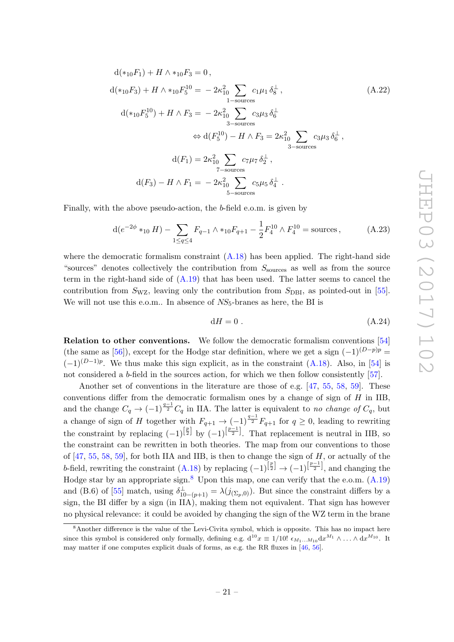$$
d(*_{10}F_1) + H \wedge *_{10}F_3 = 0,
$$
  
\n
$$
d(*_{10}F_3) + H \wedge *_{10}F_5^{10} = -2\kappa_{10}^2 \sum_{1-\text{sources}} c_1\mu_1 \delta_8^{\perp},
$$
  
\n
$$
d(*_{10}F_5^{10}) + H \wedge F_3 = -2\kappa_{10}^2 \sum_{3-\text{sources}} c_3\mu_3 \delta_6^{\perp}
$$
  
\n
$$
\Leftrightarrow d(F_5^{10}) - H \wedge F_3 = 2\kappa_{10}^2 \sum_{3-\text{sources}} c_3\mu_3 \delta_6^{\perp},
$$
  
\n
$$
d(F_1) = 2\kappa_{10}^2 \sum_{7-\text{sources}} c_7\mu_7 \delta_2^{\perp},
$$
  
\n
$$
d(F_3) - H \wedge F_1 = -2\kappa_{10}^2 \sum_{5-\text{sources}} c_5\mu_5 \delta_4^{\perp}.
$$
 (A.22)

Finally, with the above pseudo-action, the b-field e.o.m. is given by

$$
d(e^{-2\phi} *_{10} H) - \sum_{1 \le q \le 4} F_{q-1} \wedge *_{10} F_{q+1} - \frac{1}{2} F_4^{10} \wedge F_4^{10} = \text{sources},
$$
 (A.23)

where the democratic formalism constraint  $(A.18)$  has been applied. The right-hand side "sources" denotes collectively the contribution from  $S_{\text{sources}}$  as well as from the source term in the right-hand side of  $(A.19)$  that has been used. The latter seems to cancel the contribution from  $S_{\text{WZ}}$ , leaving only the contribution from  $S_{\text{DBI}}$ , as pointed-out in [\[55\]](#page-30-8). We will not use this e.o.m.. In absence of  $NS_5$ -branes as here, the BI is

$$
dH = 0. \t\t (A.24)
$$

Relation to other conventions. We follow the democratic formalism conventions [\[54\]](#page-30-7) (the same as [\[56\]](#page-30-9)), except for the Hodge star definition, where we get a sign  $(-1)^{(D-p)p}$  =  $(-1)^{(D-1)p}$ . We thus make this sign explicit, as in the constraint  $(A.18)$ . Also, in [\[54\]](#page-30-7) is not considered a b-field in the sources action, for which we then follow consistently [\[57\]](#page-30-10).

Another set of conventions in the literature are those of e.g. [\[47,](#page-30-0) [55,](#page-30-8) [58,](#page-30-11) [59\]](#page-30-12). These conventions differ from the democratic formalism ones by a change of sign of  $H$  in IIB, and the change  $C_q \to (-1)^{\frac{q-1}{2}} C_q$  in IIA. The latter is equivalent to no change of  $C_q$ , but a change of sign of H together with  $F_{q+1} \to (-1)^{\frac{q-1}{2}} F_{q+1}$  for  $q \geq 0$ , leading to rewriting the constraint by replacing  $(-1)^{\left[\frac{p}{2}\right]}$  by  $(-1)^{\left[\frac{p-1}{2}\right]}$ . That replacement is neutral in IIB, so the constraint can be rewritten in both theories. The map from our conventions to those of  $[47, 55, 58, 59]$  $[47, 55, 58, 59]$  $[47, 55, 58, 59]$  $[47, 55, 58, 59]$  $[47, 55, 58, 59]$  $[47, 55, 58, 59]$ , for both IIA and IIB, is then to change the sign of  $H$ , or actually of the b-field, rewriting the constraint  $(A.18)$  by replacing  $(-1)^{\left[\frac{p}{2}\right]} \rightarrow (-1)^{\left[\frac{p-1}{2}\right]}$ , and changing the Hodge star by an appropriate sign.<sup>[8](#page-21-0)</sup> Upon this map, one can verify that the e.o.m.  $(A.19)$ and (B.6) of [\[55\]](#page-30-8) match, using  $\delta_{10-(p+1)}^{\perp} = \lambda(j_{(\Sigma_p,0)})$ . But since the constraint differs by a sign, the BI differ by a sign (in IIA), making them not equivalent. That sign has however no physical relevance: it could be avoided by changing the sign of the WZ term in the brane

<span id="page-21-0"></span><sup>&</sup>lt;sup>8</sup>Another difference is the value of the Levi-Civita symbol, which is opposite. This has no impact here since this symbol is considered only formally, defining e.g.  $d^{10}x \equiv 1/10! \epsilon_{M_1...M_{10}} dx^{M_1} \wedge ... \wedge dx^{M_{10}}$ . It may matter if one computes explicit duals of forms, as e.g. the RR fluxes in [\[46,](#page-29-14) [56\]](#page-30-9).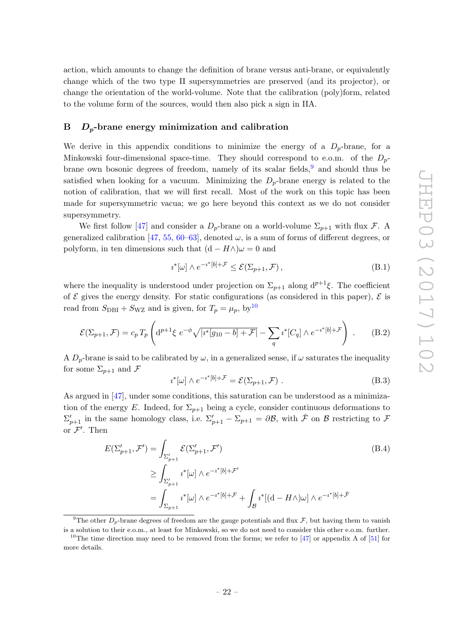action, which amounts to change the definition of brane versus anti-brane, or equivalently change which of the two type II supersymmetries are preserved (and its projector), or change the orientation of the world-volume. Note that the calibration (poly)form, related to the volume form of the sources, would then also pick a sign in IIA.

#### <span id="page-22-0"></span> $B$   $D_p$ -brane energy minimization and calibration

We derive in this appendix conditions to minimize the energy of a  $D_p$ -brane, for a Minkowski four-dimensional space-time. They should correspond to e.o.m. of the  $D_p$ brane own bosonic degrees of freedom, namely of its scalar fields,  $9$  and should thus be satisfied when looking for a vacuum. Minimizing the  $D_p$ -brane energy is related to the notion of calibration, that we will first recall. Most of the work on this topic has been made for supersymmetric vacua; we go here beyond this context as we do not consider supersymmetry.

We first follow [\[47\]](#page-30-0) and consider a  $D_p$ -brane on a world-volume  $\Sigma_{p+1}$  with flux F. A generalized calibration [\[47,](#page-30-0) [55,](#page-30-8) [60–](#page-30-13)[63\]](#page-30-14), denoted  $\omega$ , is a sum of forms of different degrees, or polyform, in ten dimensions such that  $(d - H \wedge) \omega = 0$  and

$$
i^*[\omega] \wedge e^{-i^*[b]+\mathcal{F}} \le \mathcal{E}(\Sigma_{p+1}, \mathcal{F}), \tag{B.1}
$$

where the inequality is understood under projection on  $\Sigma_{p+1}$  along  $d^{p+1}\xi$ . The coefficient of  $\mathcal E$  gives the energy density. For static configurations (as considered in this paper),  $\mathcal E$  is read from  $S_{\text{DBI}} + S_{\text{WZ}}$  and is given, for  $T_p = \mu_p$ , by<sup>[10](#page-22-2)</sup>

$$
\mathcal{E}(\Sigma_{p+1}, \mathcal{F}) = c_p T_p \left( d^{p+1} \xi \ e^{-\phi} \sqrt{|i^*[g_{10} - b] + \mathcal{F}|} - \sum_q i^*[C_q] \wedge e^{-i^*[b] + \mathcal{F}} \right) \ . \tag{B.2}
$$

A  $D_p$ -brane is said to be calibrated by  $\omega$ , in a generalized sense, if  $\omega$  saturates the inequality for some  $\Sigma_{p+1}$  and  $\mathcal F$ 

<span id="page-22-4"></span><span id="page-22-3"></span>
$$
i^*[\omega] \wedge e^{-i^*[b]+\mathcal{F}} = \mathcal{E}(\Sigma_{p+1}, \mathcal{F}) . \tag{B.3}
$$

As argued in [\[47\]](#page-30-0), under some conditions, this saturation can be understood as a minimization of the energy E. Indeed, for  $\Sigma_{p+1}$  being a cycle, consider continuous deformations to  $\Sigma'_{p+1}$  in the same homology class, i.e.  $\Sigma'_{p+1} - \Sigma_{p+1} = \partial \mathcal{B}$ , with  $\hat{\mathcal{F}}$  on  $\mathcal{B}$  restricting to  $\mathcal{F}$ or  $\mathcal{F}'$ . Then

$$
E(\Sigma'_{p+1}, \mathcal{F}') = \int_{\Sigma'_{p+1}} \mathcal{E}(\Sigma'_{p+1}, \mathcal{F}')
$$
\n
$$
\geq \int_{\Sigma'_{p+1}} i^*[\omega] \wedge e^{-i^*[b] + \mathcal{F}'}
$$
\n
$$
= \int_{\Sigma_{p+1}} i^*[\omega] \wedge e^{-i^*[b] + \mathcal{F}} + \int_{\mathcal{B}} i^*[(\mathrm{d} - H \wedge)\omega] \wedge e^{-i^*[b] + \mathcal{F}}
$$
\n
$$
(B.4)
$$

<span id="page-22-1"></span><sup>9</sup>The other  $D_p$ -brane degrees of freedom are the gauge potentials and flux  $\mathcal{F}$ , but having them to vanish is a solution to their e.o.m., at least for Minkowski, so we do not need to consider this other e.o.m. further.

<span id="page-22-2"></span><sup>&</sup>lt;sup>10</sup>The time direction may need to be removed from the forms; we refer to  $[47]$  or appendix A of  $[51]$  for more details.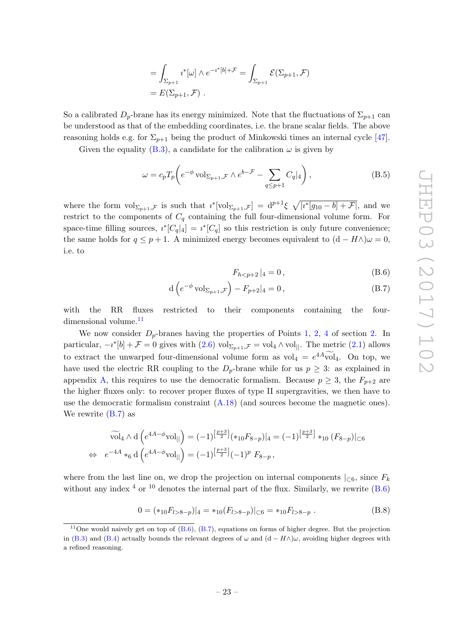$$
= \int_{\Sigma_{p+1}} i^*[\omega] \wedge e^{-i^*[b]+\mathcal{F}} = \int_{\Sigma_{p+1}} \mathcal{E}(\Sigma_{p+1}, \mathcal{F})
$$
  
=  $E(\Sigma_{p+1}, \mathcal{F})$ .

So a calibrated  $D_p$ -brane has its energy minimized. Note that the fluctuations of  $\Sigma_{p+1}$  can be understood as that of the embedding coordinates, i.e. the brane scalar fields. The above reasoning holds e.g. for  $\Sigma_{p+1}$  being the product of Minkowski times an internal cycle [\[47\]](#page-30-0).

Given the equality [\(B.3\)](#page-22-3), a candidate for the calibration  $\omega$  is given by

$$
\omega = c_p T_p \left( e^{-\phi} \operatorname{vol}_{\Sigma_{p+1}, \mathcal{F}} \wedge e^{b - \mathcal{F}} - \sum_{q \le p+1} C_q |_{4} \right),\tag{B.5}
$$

where the form  $\mathrm{vol}_{\Sigma_{p+1},\mathcal{F}}$  is such that  $i^*[\mathrm{vol}_{\Sigma_{p+1},\mathcal{F}}] = d^{p+1}\xi \sqrt{|i^*g_{10}-b|+\mathcal{F}|}$ , and we restrict to the components of  $C_q$  containing the full four-dimensional volume form. For space-time filling sources,  $i^*[C_q]_4] = i^*[C_q]$  so this restriction is only future convenience; the same holds for  $q \leq p+1$ . A minimized energy becomes equivalent to  $(d - H \wedge) \omega = 0$ , i.e. to

<span id="page-23-2"></span><span id="page-23-1"></span>
$$
F_{h
$$

$$
d\left(e^{-\phi}\operatorname{vol}_{\Sigma_{p+1},\mathcal{F}}\right) - F_{p+2}|_4 = 0, \tag{B.7}
$$

with the RR fluxes restricted to their components containing the four-dimensional volume.<sup>[11](#page-23-0)</sup>

We now consider  $D_p$ -branes having the properties of Points [1,](#page-4-2) [2,](#page-4-3) [4](#page-5-1) of section [2.](#page-4-0) In particular,  $-i^*[b] + \mathcal{F} = 0$  gives with  $(2.6) \text{ vol}_{\Sigma_{p+1}, \mathcal{F}} = \text{vol}_4 \wedge \text{vol}_{\parallel}$ . The metric  $(2.1)$  allows to extract the unwarped four-dimensional volume form as  $\text{vol}_4 = e^{4A}\text{vol}_4$ . On top, we have used the electric RR coupling to the  $D_p$ -brane while for us  $p \geq 3$ : as explained in appendix [A,](#page-17-0) this requires to use the democratic formalism. Because  $p \geq 3$ , the  $F_{p+2}$  are the higher fluxes only: to recover proper fluxes of type II supergravities, we then have to use the democratic formalism constraint  $(A.18)$  (and sources become the magnetic ones). We rewrite [\(B.7\)](#page-23-1) as

$$
\widetilde{\text{vol}}_4 \wedge d\left(e^{4A - \phi} \text{vol}_{||}\right) = (-1)^{\left[\frac{p+3}{2}\right]} (*_{10}F_{8-p})|_4 = (-1)^{\left[\frac{p+3}{2}\right]} *_{10} (F_{8-p})|_{\subset 6}
$$
  
\n
$$
\Leftrightarrow e^{-4A} *_{6} d\left(e^{4A - \phi} \text{vol}_{||}\right) = (-1)^{\left[\frac{p+3}{2}\right]} (-1)^{p} F_{8-p},
$$

where from the last line on, we drop the projection on internal components  $|_{\subset 6}$ , since  $F_k$ without any index  $4 \text{ or } 10$  denotes the internal part of the flux. Similarly, we rewrite  $(B.6)$ 

$$
0 = (*_{10}F_{l>8-p})|_{4} = *_{10}(F_{l>8-p})|_{\subset 6} = *_{10}F_{l>8-p}.
$$
\n(B.8)

<span id="page-23-0"></span><sup>&</sup>lt;sup>11</sup>One would naively get on top of  $(B.6)$ ,  $(B.7)$ , equations on forms of higher degree. But the projection in [\(B.3\)](#page-22-3) and [\(B.4\)](#page-22-4) actually bounds the relevant degrees of  $\omega$  and  $(d - H\wedge)\omega$ , avoiding higher degrees with a refined reasoning.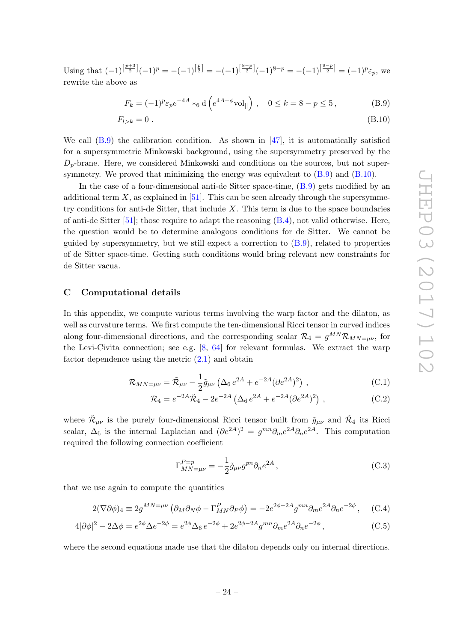Using that  $(-1)^{\left[\frac{p+3}{2}\right]}(-1)^p = -(-1)^{\left[\frac{p}{2}\right]} = -(-1)^{\left[\frac{8-p}{2}\right]}(-1)^{8-p} = -(-1)^{\left[\frac{9-p}{2}\right]} = (-1)^p \varepsilon_p$ , we rewrite the above as

<span id="page-24-2"></span><span id="page-24-1"></span>
$$
F_k = (-1)^p \varepsilon_p e^{-4A} *_{6} d \left( e^{4A - \phi} \text{vol}_{\parallel} \right), \quad 0 \le k = 8 - p \le 5,
$$
 (B.9)

$$
F_{l>k} = 0 \tag{B.10}
$$

We call  $(B.9)$  the calibration condition. As shown in [\[47\]](#page-30-0), it is automatically satisfied for a supersymmetric Minkowski background, using the supersymmetry preserved by the  $D_p$ -brane. Here, we considered Minkowski and conditions on the sources, but not supersymmetry. We proved that minimizing the energy was equivalent to [\(B.9\)](#page-24-1) and [\(B.10\)](#page-24-2).

In the case of a four-dimensional anti-de Sitter space-time, [\(B.9\)](#page-24-1) gets modified by an additional term  $X$ , as explained in [\[51\]](#page-30-4). This can be seen already through the supersymmetry conditions for anti-de Sitter, that include  $X$ . This term is due to the space boundaries of anti-de Sitter  $[51]$ ; those require to adapt the reasoning  $(B.4)$ , not valid otherwise. Here, the question would be to determine analogous conditions for de Sitter. We cannot be guided by supersymmetry, but we still expect a correction to  $(B.9)$ , related to properties of de Sitter space-time. Getting such conditions would bring relevant new constraints for de Sitter vacua.

#### <span id="page-24-0"></span>C Computational details

In this appendix, we compute various terms involving the warp factor and the dilaton, as well as curvature terms. We first compute the ten-dimensional Ricci tensor in curved indices along four-dimensional directions, and the corresponding scalar  $\mathcal{R}_4 = g^{MN} \mathcal{R}_{MN=\mu\nu}$ , for the Levi-Civita connection; see e.g.  $[8, 64]$  $[8, 64]$  for relevant formulas. We extract the warp factor dependence using the metric  $(2.1)$  and obtain

$$
\mathcal{R}_{MN=\mu\nu} = \tilde{\mathcal{R}}_{\mu\nu} - \frac{1}{2}\tilde{g}_{\mu\nu} \left( \Delta_6 e^{2A} + e^{-2A} (\partial e^{2A})^2 \right) , \qquad (C.1)
$$

$$
\mathcal{R}_4 = e^{-2A}\tilde{\mathcal{R}}_4 - 2e^{-2A} \left( \Delta_6 e^{2A} + e^{-2A} (\partial e^{2A})^2 \right) , \qquad (C.2)
$$

where  $\tilde{\mathcal{R}}_{\mu\nu}$  is the purely four-dimensional Ricci tensor built from  $\tilde{g}_{\mu\nu}$  and  $\tilde{\mathcal{R}}_4$  its Ricci scalar,  $\Delta_6$  is the internal Laplacian and  $(\partial e^{2A})^2 = g^{mn}\partial_m e^{2A}\partial_n e^{2A}$ . This computation required the following connection coefficient

<span id="page-24-5"></span><span id="page-24-4"></span><span id="page-24-3"></span>
$$
\Gamma_{MN=\mu\nu}^{P=p} = -\frac{1}{2}\tilde{g}_{\mu\nu}g^{pn}\partial_n e^{2A},\qquad (C.3)
$$

that we use again to compute the quantities

$$
2(\nabla \partial \phi)_4 \equiv 2g^{MN=\mu\nu} \left( \partial_M \partial_N \phi - \Gamma^P_{MN} \partial_P \phi \right) = -2e^{2\phi - 2A} g^{mn} \partial_m e^{2A} \partial_n e^{-2\phi} , \quad (C.4)
$$

$$
4|\partial\phi|^2 - 2\Delta\phi = e^{2\phi}\Delta e^{-2\phi} = e^{2\phi}\Delta_6 e^{-2\phi} + 2e^{2\phi - 2A}g^{mn}\partial_m e^{2A}\partial_n e^{-2\phi},\tag{C.5}
$$

where the second equations made use that the dilaton depends only on internal directions.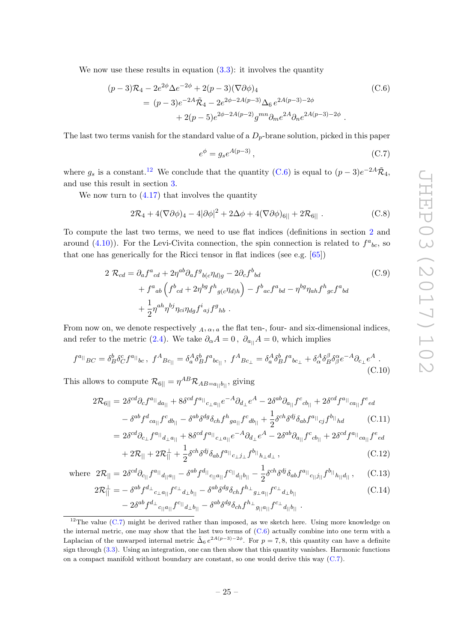We now use these results in equation  $(3.3)$ : it involves the quantity

$$
(p-3)\mathcal{R}_4 - 2e^{2\phi}\Delta e^{-2\phi} + 2(p-3)(\nabla \partial \phi)_4
$$
  
=  $(p-3)e^{-2A}\tilde{\mathcal{R}}_4 - 2e^{2\phi-2A(p-3)}\Delta_6 e^{2A(p-3)-2\phi}$   
+  $2(p-5)e^{2\phi-2A(p-2)}g^{mn}\partial_m e^{2A}\partial_n e^{2A(p-3)-2\phi}$ . (C.6)

The last two terms vanish for the standard value of a  $D_p$ -brane solution, picked in this paper

<span id="page-25-4"></span><span id="page-25-0"></span>
$$
e^{\phi} = g_s e^{A(p-3)},\tag{C.7}
$$

where  $g_s$  is a constant.<sup>[12](#page-25-3)</sup> We conclude that the quantity [\(C.6\)](#page-25-0) is equal to  $(p-3)e^{-2A}\tilde{\mathcal{R}}_4$ , and use this result in section [3.](#page-7-0)

We now turn to  $(4.17)$  that involves the quantity

<span id="page-25-6"></span>
$$
2\mathcal{R}_4 + 4(\nabla\partial\phi)_4 - 4|\partial\phi|^2 + 2\Delta\phi + 4(\nabla\partial\phi)_{6||} + 2\mathcal{R}_{6||} . \tag{C.8}
$$

To compute the last two terms, we need to use flat indices (definitions in section [2](#page-4-0) and around [\(4.10\)](#page-11-3)). For the Levi-Civita connection, the spin connection is related to  $f^a{}_{bc}$ , so that one has generically for the Ricci tensor in flat indices (see e.g. [\[65\]](#page-30-16))

$$
2 \mathcal{R}_{cd} = \partial_a f^a{}_{cd} + 2\eta^{ab}\partial_a f^g{}_{b(c}\eta_{d)g} - 2\partial_c f^b{}_{bd}
$$
  
+  $f^a{}_{ab} \left( f^b{}_{cd} + 2\eta^{bg} f^h{}_{g(c}\eta_{d)h} \right) - f^b{}_{ac} f^a{}_{bd} - \eta^{bg} \eta_{ah} f^h{}_{gc} f^a{}_{bd}$   
+  $\frac{1}{2} \eta^{ah} \eta^{bj} \eta_{ci} \eta_{dg} f^i{}_{aj} f^g{}_{hb} .$  (C.9)

From now on, we denote respectively  $_A, \alpha, a$  the flat ten-, four- and six-dimensional indices, and refer to the metric [\(2.4\)](#page-5-0). We take  $\partial_{\alpha}A = 0$ ,  $\partial_{a_{\parallel}}A = 0$ , which implies

$$
f^{a_{||}}{}_{BC} = \delta^b_B \delta^c_C f^{a_{||}}{}_{bc}, \ f^A{}_{Bc_{||}} = \delta^A_a \delta^b_B f^a{}_{bc_{||}}, \ f^A{}_{Bc_{\perp}} = \delta^A_a \delta^b_B f^a{}_{bc_{\perp}} + \delta^A_\alpha \delta^B_B \delta^{\alpha}_\beta e^{-A} \partial_{c_{\perp}} e^A \,. \tag{C.10}
$$

This allows to compute  $\mathcal{R}_{6||} = \eta^{AB} \mathcal{R}_{AB=a_{||}b_{||}}$ , giving

 $=$ 

$$
2\mathcal{R}_{6||} = 2\delta^{cd}\partial_{c}f^{a_{||}}{}_{da_{||}} + 8\delta^{cd}f^{a_{||}}{}_{c_{\perp}a_{||}}e^{-A}\partial_{d_{\perp}}e^{A} - 2\delta^{ab}\partial_{a_{||}}f^{c}{}_{cb_{||}} + 2\delta^{cd}f^{a_{||}}{}_{ca_{||}}f^{e}{}_{ed} - \delta^{ab}f^{d}{}_{ca_{||}}f^{c}{}_{db_{||}} - \delta^{ab}\delta^{dg}\delta_{ch}f^{h}{}_{ga_{||}}f^{c}{}_{db_{||}} + \frac{1}{2}\delta^{ch}\delta^{dj}\delta_{ab}f^{a_{||}}{}_{cj}f^{b_{||}}{}_{hd} \tag{C.11}
$$

$$
=2\delta^{cd}\partial_{c\perp}f^{a||}_{d\perp a_{||}}+8\delta^{cd}f^{a||}_{c\perp a_{||}}e^{-A}\partial_{d\perp}e^{A}-2\delta^{ab}\partial_{a_{||}}f^{c}{}_{cb_{||}}+2\delta^{cd}f^{a||}_{ca_{||}}f^{e}{}_{ed}
$$
\n
$$
+2\mathcal{P}{}_{\perp}+2\mathcal{P}{}_{cd}{}_{cd_{||}}f^{e}{}_{cd}
$$
\n
$$
(6.13)
$$

<span id="page-25-5"></span><span id="page-25-2"></span><span id="page-25-1"></span>
$$
+2\mathcal{R}_{||}+2\mathcal{R}_{||}^{\perp}+\frac{1}{2}\delta^{ch}\delta^{dj}\delta_{ab}f^{a_{||}}{}_{c_{\perp}j_{\perp}}f^{b_{||}}{}_{h_{\perp}d_{\perp}}\,,\tag{C.12}
$$

where 
$$
2\mathcal{R}_{||} = 2\delta^{cd}\partial_{c||}f^{a_{||}}d_{||} - \delta^{ab}f^{d_{||}}{_{c||a||}}f^{c_{||}}d_{||}b_{||} - \frac{1}{2}\delta^{ch}\delta^{dj}\delta_{ab}f^{a_{||}}{_{c||}j_{||}}f^{b_{||}}{_{h||}d_{||}} ,\qquad (C.13)
$$

$$
2\mathcal{R}_{||}^{\perp} = -\delta^{ab} f^{d_{\perp}}{}_{c_{\perp}a_{||}} f^{c_{\perp}}{}_{d_{\perp}b_{||}} - \delta^{ab}\delta^{dg}\delta_{ch} f^{h_{\perp}}{}_{g_{\perp}a_{||}} f^{c_{\perp}}{}_{d_{\perp}b_{||}} - 2\delta^{ab} f^{d_{\perp}}{}_{c_{||}a_{||}} f^{c_{||}}{}_{d_{\perp}b_{||}} - \delta^{ab}\delta^{dg}\delta_{ch} f^{h_{\perp}}{}_{g_{||}a_{||}} f^{c_{\perp}}{}_{d_{||}b_{||}}.
$$
\n(C.14)

<span id="page-25-3"></span> $12$ The value [\(C.7\)](#page-25-4) might be derived rather than imposed, as we sketch here. Using more knowledge on the internal metric, one may show that the last two terms of [\(C.6\)](#page-25-0) actually combine into one term with a Laplacian of the unwarped internal metric  $\tilde{\Delta}_6 e^{2A(p-3)-2\phi}$ . For  $p=7,8$ , this quantity can have a definite sign through [\(3.3\)](#page-8-4). Using an integration, one can then show that this quantity vanishes. Harmonic functions on a compact manifold without boundary are constant, so one would derive this way [\(C.7\)](#page-25-4).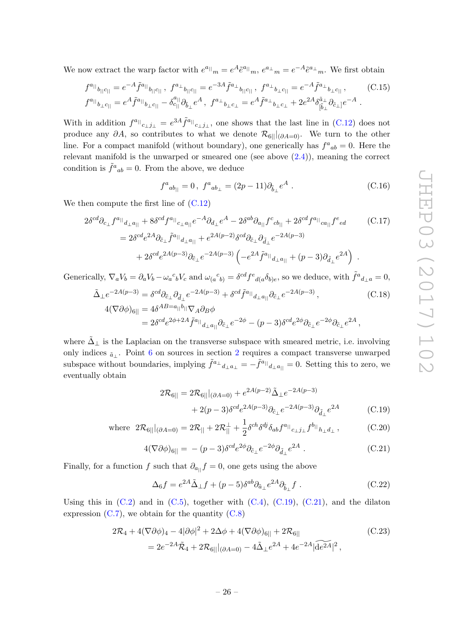We now extract the warp factor with  $e^{a_{\parallel}}{}_m = e^{A} \tilde{e}^{a_{\parallel}}{}_m, e^{a_{\perp}}{}_m = e^{-A} \tilde{e}^{a_{\perp}}{}_m$ . We first obtain

$$
f^{a_{||}}{}_{b_{||}c_{||}} = e^{-A} \tilde{f}^{a_{||}}{}_{b_{||}c_{||}}, \quad f^{a_{\perp}}{}_{b_{||}c_{||}} = e^{-3A} \tilde{f}^{a_{\perp}}{}_{b_{||}c_{||}}, \quad f^{a_{\perp}}{}_{b_{\perp}c_{||}} = e^{-A} \tilde{f}^{a_{\perp}}{}_{b_{\perp}c_{||}}, \quad (C.15)
$$

$$
f^{a_{||}}{}_{b_{\perp}c_{||}} = e^{A} \tilde{f}^{a_{||}}{}_{b_{\perp}c_{||}} - \delta^{a_{||}}_{c_{||}} \partial_{\tilde{b}_{\perp}} e^{A}, \quad f^{a_{\perp}}{}_{b_{\perp}c_{\perp}} = e^{A} \tilde{f}^{a_{\perp}}{}_{b_{\perp}c_{\perp}} + 2e^{2A} \delta^{\tilde{a}_{\perp}}_{(\tilde{b}_{\perp})} \partial_{\tilde{c}_{\perp}} e^{-A}.
$$

With in addition  $f^{a_{||}}{}_{c_{\perp}j_{\perp}} = e^{3A} \tilde{f}^{a_{||}}{}_{c_{\perp}j_{\perp}}$ , one shows that the last line in [\(C.12\)](#page-25-5) does not produce any  $\partial A$ , so contributes to what we denote  $\mathcal{R}_{6||}$ <sub>( $\partial A=0$ )</sub>. We turn to the other line. For a compact manifold (without boundary), one generically has  $f^a{}_{ab} = 0$ . Here the relevant manifold is the unwarped or smeared one (see above  $(2.4)$ ), meaning the correct condition is  $\tilde{f}^a{}_{ab} = 0$ . From the above, we deduce

$$
f^{a}{}_{ab_{||}} = 0 \,, \ f^{a}{}_{ab_{\perp}} = (2p - 11)\partial_{\tilde{b}_{\perp}}e^{A} \,. \tag{C.16}
$$

We then compute the first line of  $(C.12)$ 

$$
2\delta^{cd}\partial_{c_{\perp}}f^{a_{||}}{}_{d_{\perp}a_{||}} + 8\delta^{cd}f^{a_{||}}{}_{c_{\perp}a_{||}}e^{-A}\partial_{d_{\perp}}e^{A} - 2\delta^{ab}\partial_{a_{||}}f^{c}{}_{cb_{||}} + 2\delta^{cd}f^{a_{||}}{}_{ca_{||}}f^{e}{}_{ed} \qquad (C.17)
$$
  

$$
= 2\delta^{cd}e^{2A}\partial_{\tilde{c}_{\perp}}\tilde{f}^{a_{||}}{}_{d_{\perp}a_{||}} + e^{2A(p-2)}\delta^{cd}\partial_{\tilde{c}_{\perp}}\partial_{\tilde{d}_{\perp}}e^{-2A(p-3)} + 2\delta^{cd}e^{2A(p-3)}\partial_{\tilde{c}_{\perp}}e^{-2A(p-3)}\left(-e^{2A}\tilde{f}^{a_{||}}{}_{d_{\perp}a_{||}} + (p-3)\partial_{\tilde{d}_{\perp}}e^{2A}\right) .
$$

Generically,  $\nabla_a V_b = \partial_a V_b - \omega_a{}^c{}_b V_c$  and  $\omega_{(a}{}^c{}_{b)} = \delta^{cd} f^e{}_{d(a} \delta_{b)e}$ , so we deduce, with  $\tilde{f}^a{}_{d \perp a} = 0$ ,

$$
\tilde{\Delta}_{\perp} e^{-2A(p-3)} = \delta^{cd} \partial_{\tilde{c}_{\perp}} \partial_{\tilde{d}_{\perp}} e^{-2A(p-3)} + \delta^{cd} \tilde{f}^{a_{||}} d_{\perp a_{||}} \partial_{\tilde{c}_{\perp}} e^{-2A(p-3)},
$$
\n
$$
4(\nabla \partial \phi)_{6||} = 4\delta^{AB=a_{||}b_{||}} \nabla_A \partial_B \phi
$$
\n(C.18)

$$
=2\delta^{cd}e^{2\phi+2A}\tilde{f}^{a||}_{d_{\perp}a_{||}}\partial_{\tilde{c}_{\perp}}e^{-2\phi}-(p-3)\delta^{cd}e^{2\phi}\partial_{\tilde{c}_{\perp}}e^{-2\phi}\partial_{\tilde{c}_{\perp}}e^{2A},
$$

where  $\bar{\Delta}_{\perp}$  is the Laplacian on the transverse subspace with smeared metric, i.e. involving only indices  $_{\tilde{a}_\perp}$ . Point [6](#page-6-4) on sources in section [2](#page-4-0) requires a compact transverse unwarped subspace without boundaries, implying  $\tilde{f}^{a_\perp}{}_{d_\perp} = -\tilde{f}^{a_{||}}{}_{d_\perp}{}_{a_{||}} = 0$ . Setting this to zero, we eventually obtain

<span id="page-26-2"></span><span id="page-26-1"></span><span id="page-26-0"></span>
$$
2\mathcal{R}_{6||} = 2\mathcal{R}_{6||}|_{(\partial A=0)} + e^{2A(p-2)}\tilde{\Delta}_{\perp}e^{-2A(p-3)} + 2(p-3)\delta^{cd}e^{2A(p-3)}\partial_{\tilde{c}_{\perp}}e^{-2A(p-3)}\partial_{\tilde{d}_{\perp}}e^{2A}
$$
(C.19)

where 
$$
2\mathcal{R}_{6||}|_{(\partial A=0)} = 2\mathcal{R}_{||} + 2\mathcal{R}_{||}^{\perp} + \frac{1}{2}\delta^{ch}\delta^{dj}\delta_{ab}f^{a||}_{c_{\perp}j_{\perp}}f^{b||}_{h_{\perp}d_{\perp}},
$$
 (C.20)

$$
4(\nabla \partial \phi)_{6\parallel} = -(p-3)\delta^{cd}e^{2\phi}\partial_{\tilde{c}_{\perp}}e^{-2\phi}\partial_{\tilde{d}_{\perp}}e^{2A} . \qquad (C.21)
$$

Finally, for a function f such that  $\partial_{a_{||}} f = 0$ , one gets using the above

$$
\Delta_6 f = e^{2A} \tilde{\Delta}_{\perp} f + (p - 5) \delta^{ab} \partial_{\tilde{a}_{\perp}} e^{2A} \partial_{\tilde{b}_{\perp}} f . \tag{C.22}
$$

Using this in  $(C.2)$  and in  $(C.5)$ , together with  $(C.4)$ ,  $(C.19)$ ,  $(C.21)$ , and the dilaton expression  $(C.7)$ , we obtain for the quantity  $(C.8)$ 

$$
2\mathcal{R}_4 + 4(\nabla\partial\phi)_4 - 4|\partial\phi|^2 + 2\Delta\phi + 4(\nabla\partial\phi)_{6||} + 2\mathcal{R}_{6||}
$$
\n
$$
= 2e^{-2A}\tilde{\mathcal{R}}_4 + 2\mathcal{R}_{6||}|_{(\partial A=0)} - 4\tilde{\Delta}_\perp e^{2A} + 4e^{-2A}|\widetilde{de^{2A}}|^2,
$$
\n(C.23)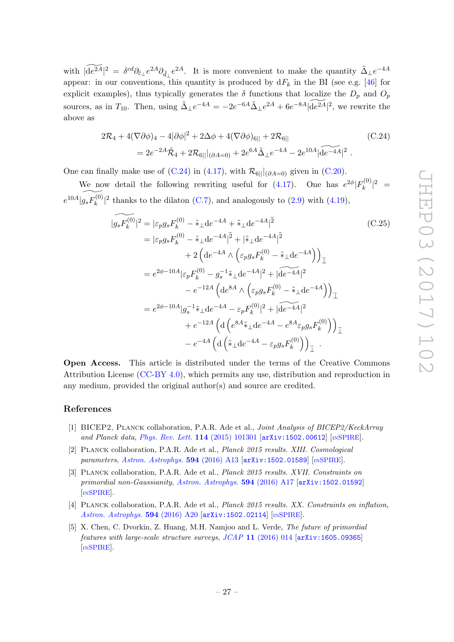with  $|\widetilde{\det}A|^2 = \delta^{cd}\partial_{\tilde{c}_\perp}e^{2A}\partial_{\tilde{d}_\perp}e^{2A}$ . It is more convenient to make the quantity  $\tilde{\Delta}_\perp e^{-4A}$ appear: in our conventions, this quantity is produced by  $dF_k$  in the BI (see e.g. [\[46\]](#page-29-14) for explicit examples), thus typically generates the  $\delta$  functions that localize the  $D_p$  and  $O_p$ sources, as in  $T_{10}$ . Then, using  $\tilde{\Delta}_{\perp}e^{-4A} = -2e^{-6A}\tilde{\Delta}_{\perp}e^{2A} + 6e^{-8A}|\widetilde{de^{2A}}|^2$ , we rewrite the above as

<span id="page-27-3"></span>
$$
2\mathcal{R}_4 + 4(\nabla\partial\phi)_4 - 4|\partial\phi|^2 + 2\Delta\phi + 4(\nabla\partial\phi)_{6||} + 2\mathcal{R}_{6||}
$$
\n
$$
= 2e^{-2A}\tilde{\mathcal{R}}_4 + 2\mathcal{R}_{6||}|_{(\partial A=0)} + 2e^{6A}\tilde{\Delta}_\perp e^{-4A} - 2e^{10A}| \widetilde{de^{-4A}}|^2.
$$
\n(C.24)

One can finally make use of [\(C.24\)](#page-27-3) in [\(4.17\)](#page-12-1), with  $\mathcal{R}_{6||}$ <sub>( $\partial A=0$ )</sub> given in [\(C.20\)](#page-26-0).

We now detail the following rewriting useful for [\(4.17\)](#page-12-1). One has  $e^{2\phi}|F_k^{(0)}|$  $\int_k^{(0)} |^2 =$  $e^{10A}$  $\widetilde{|g_s F_k^{(0)}}$  $(k^{(0)}_k)^2$  thanks to the dilaton [\(C.7\)](#page-25-4), and analogously to [\(2.9\)](#page-7-2) with [\(4.19\)](#page-13-2),

<span id="page-27-4"></span>
$$
|\widehat{g_s F_k^{(0)}}|^2 = |\varepsilon_p g_s F_k^{(0)} - \tilde{\ast}_{\perp} \mathrm{d}e^{-4A} + \tilde{\ast}_{\perp} \mathrm{d}e^{-4A}|^2
$$
(C.25)  
\n
$$
= |\varepsilon_p g_s F_k^{(0)} - \tilde{\ast}_{\perp} \mathrm{d}e^{-4A}|^2 + |\tilde{\ast}_{\perp} \mathrm{d}e^{-4A}|^2
$$
\n
$$
+ 2 \left( \mathrm{d}e^{-4A} \wedge \left( \varepsilon_p g_s F_k^{(0)} - \tilde{\ast}_{\perp} \mathrm{d}e^{-4A} \right) \right)_{\perp}
$$
\n
$$
= e^{2\phi - 10A} |\varepsilon_p F_k^{(0)} - g_s^{-1} \tilde{\ast}_{\perp} \mathrm{d}e^{-4A}|^2 + |\widetilde{\mathrm{d}e^{-4A}}|^2
$$
\n
$$
- e^{-12A} \left( \mathrm{d}e^{8A} \wedge \left( \varepsilon_p g_s F_k^{(0)} - \tilde{\ast}_{\perp} \mathrm{d}e^{-4A} \right) \right)_{\perp}
$$
\n
$$
= e^{2\phi - 10A} |g_s^{-1} \tilde{\ast}_{\perp} \mathrm{d}e^{-4A} - \varepsilon_p F_k^{(0)}|^2 + |\widetilde{\mathrm{d}e^{-4A}}|^2
$$
\n
$$
+ e^{-12A} \left( \mathrm{d} \left( e^{8A} \tilde{\ast}_{\perp} \mathrm{d}e^{-4A} - e^{8A} \varepsilon_p g_s F_k^{(0)} \right) \right)_{\perp}
$$
\n
$$
- e^{-4A} \left( \mathrm{d} \left( \tilde{\ast}_{\perp} \mathrm{d}e^{-4A} - \varepsilon_p g_s F_k^{(0)} \right) \right)_{\perp}.
$$

Open Access. This article is distributed under the terms of the Creative Commons Attribution License [\(CC-BY 4.0\)](http://creativecommons.org/licenses/by/4.0/), which permits any use, distribution and reproduction in any medium, provided the original author(s) and source are credited.

#### References

- <span id="page-27-0"></span>[1] BICEP2, Planck collaboration, P.A.R. Ade et al., Joint Analysis of BICEP2/KeckArray and Planck data, [Phys. Rev. Lett.](http://dx.doi.org/10.1103/PhysRevLett.114.101301) 114 (2015) 101301 [[arXiv:1502.00612](https://arxiv.org/abs/1502.00612)] [IN[SPIRE](http://inspirehep.net/search?p=find+EPRINT+arXiv:1502.00612)].
- [2] Planck collaboration, P.A.R. Ade et al., Planck 2015 results. XIII. Cosmological parameters, [Astron. Astrophys.](http://dx.doi.org/10.1051/0004-6361/201525830) 594 (2016) A13 [[arXiv:1502.01589](https://arxiv.org/abs/1502.01589)] [IN[SPIRE](http://inspirehep.net/search?p=find+EPRINT+arXiv:1502.01589)].
- [3] Planck collaboration, P.A.R. Ade et al., Planck 2015 results. XVII. Constraints on primordial non-Gaussianity, [Astron. Astrophys.](http://dx.doi.org/10.1051/0004-6361/201525836) 594 (2016) A17 [[arXiv:1502.01592](https://arxiv.org/abs/1502.01592)] [IN[SPIRE](http://inspirehep.net/search?p=find+EPRINT+arXiv:1502.01592)].
- <span id="page-27-1"></span>[4] PLANCK collaboration, P.A.R. Ade et al., *Planck 2015 results. XX. Constraints on inflation*, [Astron. Astrophys.](http://dx.doi.org/10.1051/0004-6361/201525898) 594 (2016) A20 [[arXiv:1502.02114](https://arxiv.org/abs/1502.02114)] [IN[SPIRE](http://inspirehep.net/search?p=find+EPRINT+arXiv:1502.02114)].
- <span id="page-27-2"></span>[5] X. Chen, C. Dvorkin, Z. Huang, M.H. Namjoo and L. Verde, The future of primordial features with large-scale structure surveys, JCAP 11 [\(2016\) 014](http://dx.doi.org/10.1088/1475-7516/2016/11/014) [[arXiv:1605.09365](https://arxiv.org/abs/1605.09365)] [IN[SPIRE](http://inspirehep.net/search?p=find+EPRINT+arXiv:1605.09365)].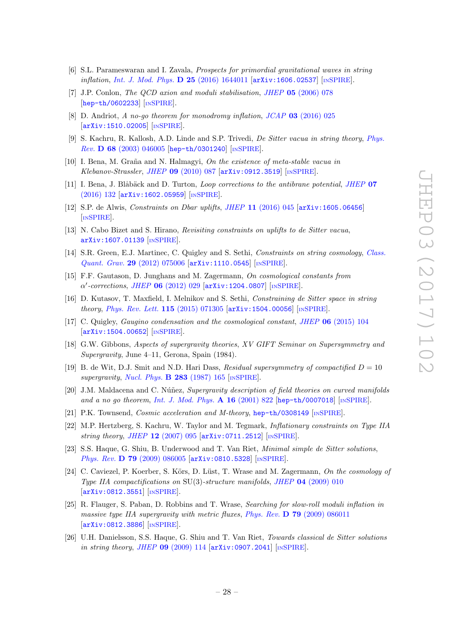- <span id="page-28-0"></span>[6] S.L. Parameswaran and I. Zavala, Prospects for primordial gravitational waves in string inflation, [Int. J. Mod. Phys.](http://dx.doi.org/10.1142/S0218271816440119)  $D$  25 (2016) 1644011 [[arXiv:1606.02537](https://arxiv.org/abs/1606.02537)] [IN[SPIRE](http://inspirehep.net/search?p=find+EPRINT+arXiv:1606.02537)].
- <span id="page-28-1"></span>[7] J.P. Conlon, The QCD axion and moduli stabilisation, JHEP 05 [\(2006\) 078](http://dx.doi.org/10.1088/1126-6708/2006/05/078) [[hep-th/0602233](https://arxiv.org/abs/hep-th/0602233)] [IN[SPIRE](http://inspirehep.net/search?p=find+EPRINT+hep-th/0602233)].
- <span id="page-28-2"></span>[8] D. Andriot, A no-go theorem for monodromy inflation, JCAP 03 [\(2016\) 025](http://dx.doi.org/10.1088/1475-7516/2016/03/025) [[arXiv:1510.02005](https://arxiv.org/abs/1510.02005)] [IN[SPIRE](http://inspirehep.net/search?p=find+EPRINT+arXiv:1510.02005)].
- <span id="page-28-3"></span>[9] S. Kachru, R. Kallosh, A.D. Linde and S.P. Trivedi, De Sitter vacua in string theory, [Phys.](http://dx.doi.org/10.1103/PhysRevD.68.046005) Rev. D 68 [\(2003\) 046005](http://dx.doi.org/10.1103/PhysRevD.68.046005) [[hep-th/0301240](https://arxiv.org/abs/hep-th/0301240)] [IN[SPIRE](http://inspirehep.net/search?p=find+EPRINT+hep-th/0301240)].
- <span id="page-28-4"></span>[10] I. Bena, M. Graña and N. Halmagyi, On the existence of meta-stable vacua in Klebanov-Strassler, JHEP 09 [\(2010\) 087](http://dx.doi.org/10.1007/JHEP09(2010)087) [[arXiv:0912.3519](https://arxiv.org/abs/0912.3519)] [IN[SPIRE](http://inspirehep.net/search?p=find+EPRINT+arXiv:0912.3519)].
- <span id="page-28-5"></span>[11] I. Bena, J. Blåbäck and D. Turton, *Loop corrections to the antibrane potential, [JHEP](http://dx.doi.org/10.1007/JHEP07(2016)132)* 07 [\(2016\) 132](http://dx.doi.org/10.1007/JHEP07(2016)132) [[arXiv:1602.05959](https://arxiv.org/abs/1602.05959)] [IN[SPIRE](http://inspirehep.net/search?p=find+EPRINT+arXiv:1602.05959)].
- <span id="page-28-6"></span>[12] S.P. de Alwis, Constraints on Dbar uplifts, JHEP 11 [\(2016\) 045](http://dx.doi.org/10.1007/JHEP11(2016)045) [[arXiv:1605.06456](https://arxiv.org/abs/1605.06456)] [IN[SPIRE](http://inspirehep.net/search?p=find+EPRINT+arXiv:1605.06456)].
- <span id="page-28-7"></span>[13] N. Cabo Bizet and S. Hirano, Revisiting constraints on uplifts to de Sitter vacua, [arXiv:1607.01139](https://arxiv.org/abs/1607.01139) [IN[SPIRE](http://inspirehep.net/search?p=find+EPRINT+arXiv:1607.01139)].
- <span id="page-28-8"></span>[14] S.R. Green, E.J. Martinec, C. Quigley and S. Sethi, Constraints on string cosmology, [Class.](http://dx.doi.org/10.1088/0264-9381/29/7/075006) Quant. Grav. 29 [\(2012\) 075006](http://dx.doi.org/10.1088/0264-9381/29/7/075006) [[arXiv:1110.0545](https://arxiv.org/abs/1110.0545)] [IN[SPIRE](http://inspirehep.net/search?p=find+EPRINT+arXiv:1110.0545)].
- [15] F.F. Gautason, D. Junghans and M. Zagermann, On cosmological constants from  $\alpha'$ -corrections, JHEP 06 [\(2012\) 029](http://dx.doi.org/10.1007/JHEP06(2012)029) [[arXiv:1204.0807](https://arxiv.org/abs/1204.0807)] [IN[SPIRE](http://inspirehep.net/search?p=find+EPRINT+arXiv:1204.0807)].
- [16] D. Kutasov, T. Maxfield, I. Melnikov and S. Sethi, Constraining de Sitter space in string theory, [Phys. Rev. Lett.](http://dx.doi.org/10.1103/PhysRevLett.115.071305) 115 (2015) 071305 [[arXiv:1504.00056](https://arxiv.org/abs/1504.00056)] [IN[SPIRE](http://inspirehep.net/search?p=find+EPRINT+arXiv:1504.00056)].
- <span id="page-28-9"></span>[17] C. Quigley, Gaugino condensation and the cosmological constant, JHEP 06 [\(2015\) 104](http://dx.doi.org/10.1007/JHEP06(2015)104) [[arXiv:1504.00652](https://arxiv.org/abs/1504.00652)] [IN[SPIRE](http://inspirehep.net/search?p=find+EPRINT+arXiv:1504.00652)].
- <span id="page-28-10"></span>[18] G.W. Gibbons, Aspects of supergravity theories, XV GIFT Seminar on Supersymmetry and Supergravity, June 4–11, Gerona, Spain (1984).
- [19] B. de Wit, D.J. Smit and N.D. Hari Dass, Residual supersymmetry of compactified  $D = 10$ supergravity, [Nucl. Phys.](http://dx.doi.org/10.1016/0550-3213(87)90267-7) **B 283** (1987) 165 [IN[SPIRE](http://inspirehep.net/search?p=find+J+%22Nucl.Phys.,B283,165%22)].
- <span id="page-28-16"></span>[20] J.M. Maldacena and C. Núñez, Supergravity description of field theories on curved manifolds and a no go theorem, [Int. J. Mod. Phys.](http://dx.doi.org/10.1142/S0217751X01003935)  $\bf{A}$  16 (2001) 822 [[hep-th/0007018](https://arxiv.org/abs/hep-th/0007018)] [IN[SPIRE](http://inspirehep.net/search?p=find+EPRINT+hep-th/0007018)].
- <span id="page-28-11"></span>[21] P.K. Townsend, Cosmic acceleration and M-theory, [hep-th/0308149](https://arxiv.org/abs/hep-th/0308149) [IN[SPIRE](http://inspirehep.net/search?p=find+EPRINT+hep-th/0308149)].
- <span id="page-28-12"></span>[22] M.P. Hertzberg, S. Kachru, W. Taylor and M. Tegmark, Inflationary constraints on Type IIA string theory, JHEP  $12$  [\(2007\) 095](http://dx.doi.org/10.1088/1126-6708/2007/12/095) [[arXiv:0711.2512](https://arxiv.org/abs/0711.2512)] [IN[SPIRE](http://inspirehep.net/search?p=find+EPRINT+arXiv:0711.2512)].
- <span id="page-28-15"></span>[23] S.S. Haque, G. Shiu, B. Underwood and T. Van Riet, Minimal simple de Sitter solutions, Phys. Rev. D 79 [\(2009\) 086005](http://dx.doi.org/10.1103/PhysRevD.79.086005) [[arXiv:0810.5328](https://arxiv.org/abs/0810.5328)] [IN[SPIRE](http://inspirehep.net/search?p=find+EPRINT+arXiv:0810.5328)].
- <span id="page-28-13"></span>[24] C. Caviezel, P. Koerber, S. Körs, D. Lüst, T. Wrase and M. Zagermann, On the cosmology of Type IIA compactifications on  $SU(3)$ -structure manifolds, JHEP 04 [\(2009\) 010](http://dx.doi.org/10.1088/1126-6708/2009/04/010) [[arXiv:0812.3551](https://arxiv.org/abs/0812.3551)] [IN[SPIRE](http://inspirehep.net/search?p=find+EPRINT+arXiv:0812.3551)].
- [25] R. Flauger, S. Paban, D. Robbins and T. Wrase, Searching for slow-roll moduli inflation in massive type IIA supergravity with metric fluxes, Phys. Rev.  $\bf{D}$  79 [\(2009\) 086011](http://dx.doi.org/10.1103/PhysRevD.79.086011) [[arXiv:0812.3886](https://arxiv.org/abs/0812.3886)] [IN[SPIRE](http://inspirehep.net/search?p=find+EPRINT+arXiv:0812.3886)].
- <span id="page-28-14"></span>[26] U.H. Danielsson, S.S. Haque, G. Shiu and T. Van Riet, Towards classical de Sitter solutions in string theory, JHEP 09 [\(2009\) 114](http://dx.doi.org/10.1088/1126-6708/2009/09/114) [[arXiv:0907.2041](https://arxiv.org/abs/0907.2041)] [IN[SPIRE](http://inspirehep.net/search?p=find+EPRINT+arXiv:0907.2041)].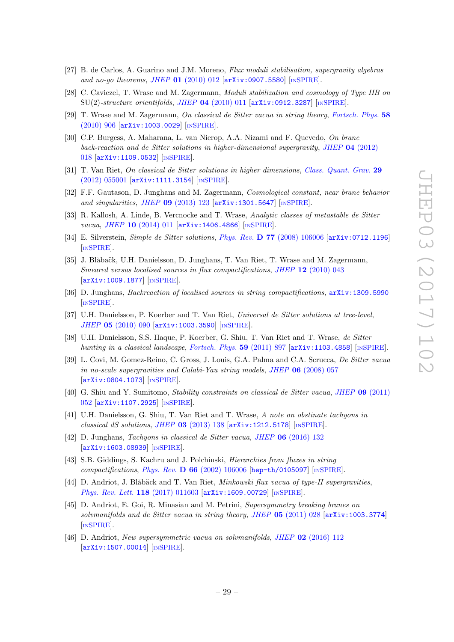- [27] B. de Carlos, A. Guarino and J.M. Moreno, Flux moduli stabilisation, supergravity algebras and no-go theorems, JHEP  $01$  [\(2010\) 012](http://dx.doi.org/10.1007/JHEP01(2010)012) [[arXiv:0907.5580](https://arxiv.org/abs/0907.5580)] [IN[SPIRE](http://inspirehep.net/search?p=find+EPRINT+arXiv:0907.5580)].
- <span id="page-29-4"></span>[28] C. Caviezel, T. Wrase and M. Zagermann, Moduli stabilization and cosmology of Type IIB on  $SU(2)$ -structure orientifolds, JHEP 04 [\(2010\) 011](http://dx.doi.org/10.1007/JHEP04(2010)011)  $\text{arXiv:}$ 0912.3287] [IN[SPIRE](http://inspirehep.net/search?p=find+EPRINT+arXiv:0912.3287)].
- <span id="page-29-12"></span>[29] T. Wrase and M. Zagermann, On classical de Sitter vacua in string theory, [Fortsch. Phys.](http://dx.doi.org/10.1002/prop.201000053) 58 [\(2010\) 906](http://dx.doi.org/10.1002/prop.201000053) [[arXiv:1003.0029](https://arxiv.org/abs/1003.0029)] [IN[SPIRE](http://inspirehep.net/search?p=find+EPRINT+arXiv:1003.0029)].
- <span id="page-29-11"></span>[30] C.P. Burgess, A. Maharana, L. van Nierop, A.A. Nizami and F. Quevedo, On brane back-reaction and de Sitter solutions in higher-dimensional supergravity, JHEP 04 [\(2012\)](http://dx.doi.org/10.1007/JHEP04(2012)018) [018](http://dx.doi.org/10.1007/JHEP04(2012)018) [[arXiv:1109.0532](https://arxiv.org/abs/1109.0532)] [IN[SPIRE](http://inspirehep.net/search?p=find+EPRINT+arXiv:1109.0532)].
- [31] T. Van Riet, On classical de Sitter solutions in higher dimensions, [Class. Quant. Grav.](http://dx.doi.org/10.1088/0264-9381/29/5/055001) 29 [\(2012\) 055001](http://dx.doi.org/10.1088/0264-9381/29/5/055001) [[arXiv:1111.3154](https://arxiv.org/abs/1111.3154)] [IN[SPIRE](http://inspirehep.net/search?p=find+EPRINT+arXiv:1111.3154)].
- [32] F.F. Gautason, D. Junghans and M. Zagermann, Cosmological constant, near brane behavior and singularities, JHEP  $09$  [\(2013\) 123](http://dx.doi.org/10.1007/JHEP09(2013)123)  $\text{arXiv:1301.5647}$  $\text{arXiv:1301.5647}$  $\text{arXiv:1301.5647}$  [IN[SPIRE](http://inspirehep.net/search?p=find+EPRINT+arXiv:1301.5647)].
- <span id="page-29-0"></span>[33] R. Kallosh, A. Linde, B. Vercnocke and T. Wrase, Analytic classes of metastable de Sitter vacua, JHEP 10 [\(2014\) 011](http://dx.doi.org/10.1007/JHEP10(2014)011) [[arXiv:1406.4866](https://arxiv.org/abs/1406.4866)] [IN[SPIRE](http://inspirehep.net/search?p=find+EPRINT+arXiv:1406.4866)].
- <span id="page-29-1"></span>[34] E. Silverstein, Simple de Sitter solutions, Phys. Rev. D 77 [\(2008\) 106006](http://dx.doi.org/10.1103/PhysRevD.77.106006) [[arXiv:0712.1196](https://arxiv.org/abs/0712.1196)] [IN[SPIRE](http://inspirehep.net/search?p=find+EPRINT+arXiv:0712.1196)].
- <span id="page-29-2"></span>[35] J. Blåbačk, U.H. Danielsson, D. Junghans, T. Van Riet, T. Wrase and M. Zagermann, Smeared versus localised sources in flux compactifications, JHEP 12 [\(2010\) 043](http://dx.doi.org/10.1007/JHEP12(2010)043) [[arXiv:1009.1877](https://arxiv.org/abs/1009.1877)] [IN[SPIRE](http://inspirehep.net/search?p=find+EPRINT+arXiv:1009.1877)].
- <span id="page-29-3"></span>[36] D. Junghans, Backreaction of localised sources in string compactifications, [arXiv:1309.5990](https://arxiv.org/abs/1309.5990) [IN[SPIRE](http://inspirehep.net/search?p=find+EPRINT+arXiv:1309.5990)].
- <span id="page-29-5"></span>[37] U.H. Danielsson, P. Koerber and T. Van Riet, Universal de Sitter solutions at tree-level, JHEP 05 [\(2010\) 090](http://dx.doi.org/10.1007/JHEP05(2010)090) [[arXiv:1003.3590](https://arxiv.org/abs/1003.3590)] [IN[SPIRE](http://inspirehep.net/search?p=find+EPRINT+arXiv:1003.3590)].
- <span id="page-29-6"></span>[38] U.H. Danielsson, S.S. Haque, P. Koerber, G. Shiu, T. Van Riet and T. Wrase, de Sitter hunting in a classical landscape, [Fortsch. Phys.](http://dx.doi.org/10.1002/prop.201100047) 59 (2011) 897 [[arXiv:1103.4858](https://arxiv.org/abs/1103.4858)] [IN[SPIRE](http://inspirehep.net/search?p=find+EPRINT+arXiv:1103.4858)].
- <span id="page-29-7"></span>[39] L. Covi, M. Gomez-Reino, C. Gross, J. Louis, G.A. Palma and C.A. Scrucca, De Sitter vacua in no-scale supergravities and Calabi-Yau string models, JHEP 06 [\(2008\) 057](http://dx.doi.org/10.1088/1126-6708/2008/06/057) [[arXiv:0804.1073](https://arxiv.org/abs/0804.1073)] [IN[SPIRE](http://inspirehep.net/search?p=find+EPRINT+arXiv:0804.1073)].
- [40] G. Shiu and Y. Sumitomo, Stability constraints on classical de Sitter vacua, JHEP 09 [\(2011\)](http://dx.doi.org/10.1007/JHEP09(2011)052) [052](http://dx.doi.org/10.1007/JHEP09(2011)052) [[arXiv:1107.2925](https://arxiv.org/abs/1107.2925)] [IN[SPIRE](http://inspirehep.net/search?p=find+EPRINT+arXiv:1107.2925)].
- <span id="page-29-15"></span>[41] U.H. Danielsson, G. Shiu, T. Van Riet and T. Wrase, A note on obstinate tachyons in classical dS solutions, JHEP  $03$  [\(2013\) 138](http://dx.doi.org/10.1007/JHEP03(2013)138)  $\text{arXiv:1212.5178}$  $\text{arXiv:1212.5178}$  $\text{arXiv:1212.5178}$  [IN[SPIRE](http://inspirehep.net/search?p=find+EPRINT+arXiv:1212.5178)].
- <span id="page-29-8"></span>[42] D. Junghans, Tachyons in classical de Sitter vacua, JHEP 06 [\(2016\) 132](http://dx.doi.org/10.1007/JHEP06(2016)132) [[arXiv:1603.08939](https://arxiv.org/abs/1603.08939)] [IN[SPIRE](http://inspirehep.net/search?p=find+EPRINT+arXiv:1603.08939)].
- <span id="page-29-9"></span>[43] S.B. Giddings, S. Kachru and J. Polchinski, Hierarchies from fluxes in string compactifications, Phys. Rev. D 66 [\(2002\) 106006](http://dx.doi.org/10.1103/PhysRevD.66.106006) [[hep-th/0105097](https://arxiv.org/abs/hep-th/0105097)] [IN[SPIRE](http://inspirehep.net/search?p=find+EPRINT+hep-th/0105097)].
- <span id="page-29-10"></span>[44] D. Andriot, J. Blåbäck and T. Van Riet, Minkowski flux vacua of type-II supergravities, [Phys. Rev. Lett.](http://dx.doi.org/10.1103/PhysRevLett.118.011603) 118 (2017) 011603 [[arXiv:1609.00729](https://arxiv.org/abs/1609.00729)] [IN[SPIRE](http://inspirehep.net/search?p=find+EPRINT+arXiv:1609.00729)].
- <span id="page-29-13"></span>[45] D. Andriot, E. Goi, R. Minasian and M. Petrini, Supersymmetry breaking branes on solvmanifolds and de Sitter vacua in string theory, JHEP 05 [\(2011\) 028](http://dx.doi.org/10.1007/JHEP05(2011)028) [[arXiv:1003.3774](https://arxiv.org/abs/1003.3774)] [IN[SPIRE](http://inspirehep.net/search?p=find+EPRINT+arXiv:1003.3774)].
- <span id="page-29-14"></span>[46] D. Andriot, New supersymmetric vacua on solvmanifolds, JHEP 02 [\(2016\) 112](http://dx.doi.org/10.1007/JHEP02(2016)112)  $\left[$ [arXiv:1507.00014](https://arxiv.org/abs/1507.00014) $\right]$  $\left[$ <sub>IN[SPIRE](http://inspirehep.net/search?p=find+EPRINT+arXiv:1507.00014)</sub> $\right]$ .